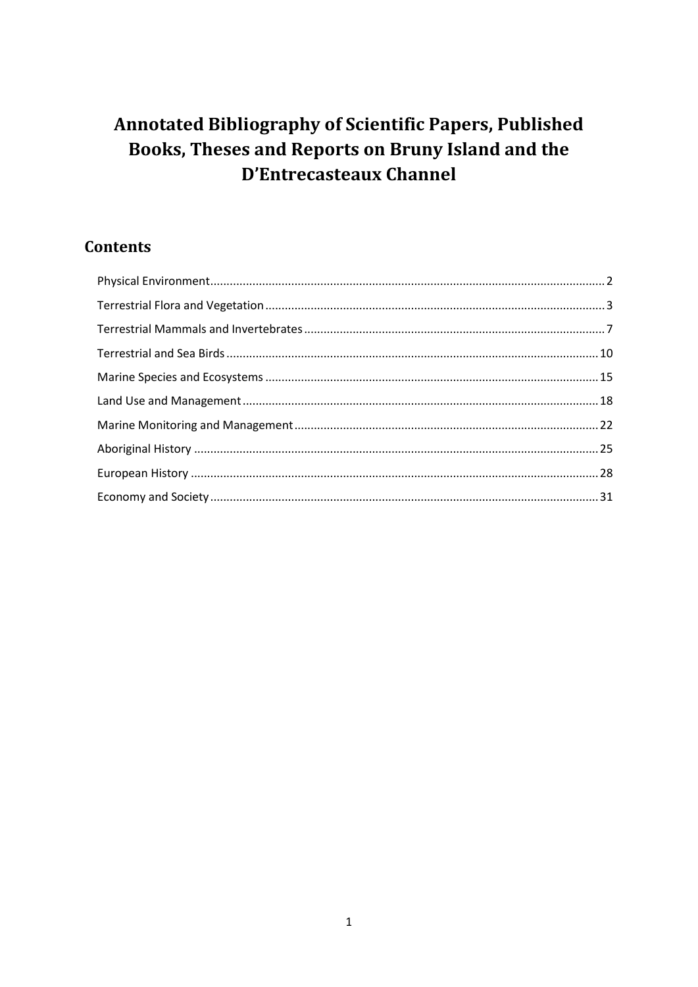# Annotated Bibliography of Scientific Papers, Published Books, Theses and Reports on Bruny Island and the **D'Entrecasteaux Channel**

# **Contents**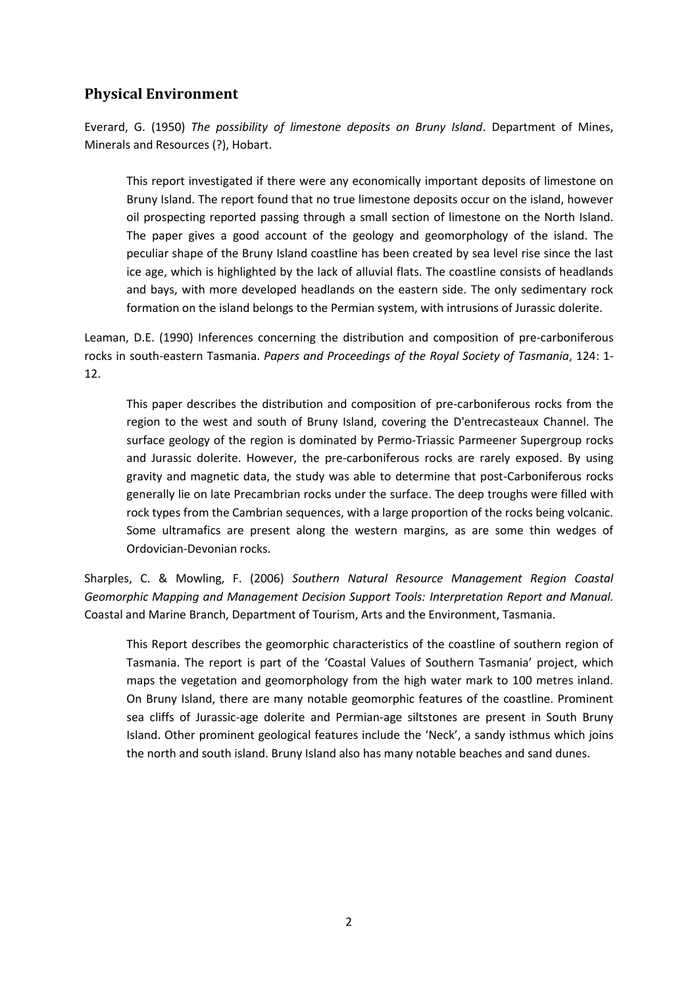# <span id="page-1-0"></span>**Physical Environment**

Everard, G. (1950) *The possibility of limestone deposits on Bruny Island*. Department of Mines, Minerals and Resources (?), Hobart.

This report investigated if there were any economically important deposits of limestone on Bruny Island. The report found that no true limestone deposits occur on the island, however oil prospecting reported passing through a small section of limestone on the North Island. The paper gives a good account of the geology and geomorphology of the island. The peculiar shape of the Bruny Island coastline has been created by sea level rise since the last ice age, which is highlighted by the lack of alluvial flats. The coastline consists of headlands and bays, with more developed headlands on the eastern side. The only sedimentary rock formation on the island belongs to the Permian system, with intrusions of Jurassic dolerite.

Leaman, D.E. (1990) Inferences concerning the distribution and composition of pre-carboniferous rocks in south-eastern Tasmania. *Papers and Proceedings of the Royal Society of Tasmania*, 124: 1- 12.

This paper describes the distribution and composition of pre-carboniferous rocks from the region to the west and south of Bruny Island, covering the D'entrecasteaux Channel. The surface geology of the region is dominated by Permo-Triassic Parmeener Supergroup rocks and Jurassic dolerite. However, the pre-carboniferous rocks are rarely exposed. By using gravity and magnetic data, the study was able to determine that post-Carboniferous rocks generally lie on late Precambrian rocks under the surface. The deep troughs were filled with rock types from the Cambrian sequences, with a large proportion of the rocks being volcanic. Some ultramafics are present along the western margins, as are some thin wedges of Ordovician-Devonian rocks.

Sharples, C. & Mowling, F. (2006) *Southern Natural Resource Management Region Coastal Geomorphic Mapping and Management Decision Support Tools: Interpretation Report and Manual.* Coastal and Marine Branch, Department of Tourism, Arts and the Environment, Tasmania.

This Report describes the geomorphic characteristics of the coastline of southern region of Tasmania. The report is part of the 'Coastal Values of Southern Tasmania' project, which maps the vegetation and geomorphology from the high water mark to 100 metres inland. On Bruny Island, there are many notable geomorphic features of the coastline. Prominent sea cliffs of Jurassic-age dolerite and Permian-age siltstones are present in South Bruny Island. Other prominent geological features include the 'Neck', a sandy isthmus which joins the north and south island. Bruny Island also has many notable beaches and sand dunes.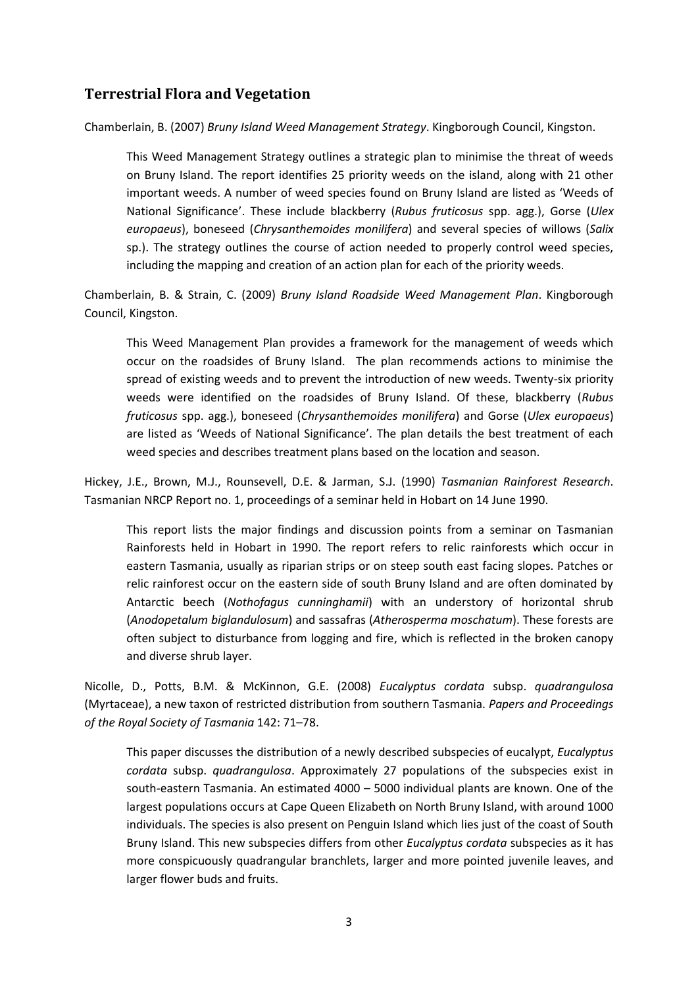# <span id="page-2-0"></span>**Terrestrial Flora and Vegetation**

Chamberlain, B. (2007) *Bruny Island Weed Management Strategy*. Kingborough Council, Kingston.

This Weed Management Strategy outlines a strategic plan to minimise the threat of weeds on Bruny Island. The report identifies 25 priority weeds on the island, along with 21 other important weeds. A number of weed species found on Bruny Island are listed as 'Weeds of National Significance'. These include blackberry (*Rubus fruticosus* spp. agg.), Gorse (*Ulex europaeus*), boneseed (*Chrysanthemoides monilifera*) and several species of willows (*Salix* sp.). The strategy outlines the course of action needed to properly control weed species, including the mapping and creation of an action plan for each of the priority weeds.

Chamberlain, B. & Strain, C. (2009) *Bruny Island Roadside Weed Management Plan*. Kingborough Council, Kingston.

This Weed Management Plan provides a framework for the management of weeds which occur on the roadsides of Bruny Island. The plan recommends actions to minimise the spread of existing weeds and to prevent the introduction of new weeds. Twenty-six priority weeds were identified on the roadsides of Bruny Island. Of these, blackberry (*Rubus fruticosus* spp. agg.), boneseed (*Chrysanthemoides monilifera*) and Gorse (*Ulex europaeus*) are listed as 'Weeds of National Significance'. The plan details the best treatment of each weed species and describes treatment plans based on the location and season.

Hickey, J.E., Brown, M.J., Rounsevell, D.E. & Jarman, S.J. (1990) *Tasmanian Rainforest Research*. Tasmanian NRCP Report no. 1, proceedings of a seminar held in Hobart on 14 June 1990.

This report lists the major findings and discussion points from a seminar on Tasmanian Rainforests held in Hobart in 1990. The report refers to relic rainforests which occur in eastern Tasmania, usually as riparian strips or on steep south east facing slopes. Patches or relic rainforest occur on the eastern side of south Bruny Island and are often dominated by Antarctic beech (*Nothofagus cunninghamii*) with an understory of horizontal shrub (*Anodopetalum biglandulosum*) and sassafras (*Atherosperma moschatum*). These forests are often subject to disturbance from logging and fire, which is reflected in the broken canopy and diverse shrub layer.

Nicolle, D., Potts, B.M. & McKinnon, G.E. (2008) *Eucalyptus cordata* subsp. *quadrangulosa* (Myrtaceae), a new taxon of restricted distribution from southern Tasmania. *Papers and Proceedings of the Royal Society of Tasmania* 142: 71–78.

This paper discusses the distribution of a newly described subspecies of eucalypt, *Eucalyptus cordata* subsp. *quadrangulosa*. Approximately 27 populations of the subspecies exist in south-eastern Tasmania. An estimated 4000 – 5000 individual plants are known. One of the largest populations occurs at Cape Queen Elizabeth on North Bruny Island, with around 1000 individuals. The species is also present on Penguin Island which lies just of the coast of South Bruny Island. This new subspecies differs from other *Eucalyptus cordata* subspecies as it has more conspicuously quadrangular branchlets, larger and more pointed juvenile leaves, and larger flower buds and fruits.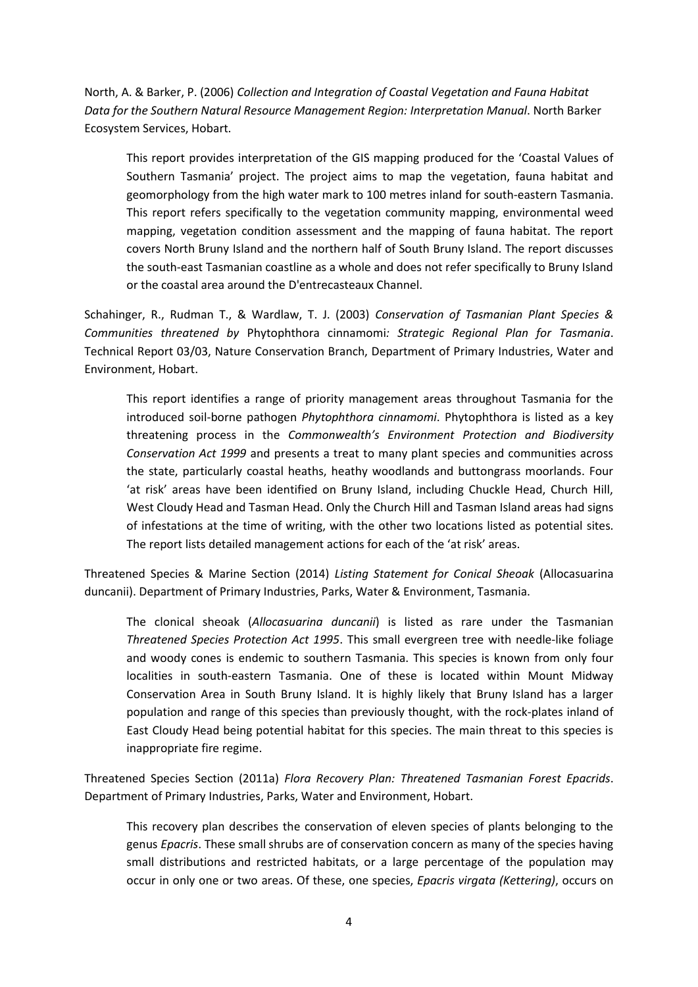North, A. & Barker, P. (2006) *Collection and Integration of Coastal Vegetation and Fauna Habitat Data for the Southern Natural Resource Management Region: Interpretation Manual*. North Barker Ecosystem Services, Hobart.

This report provides interpretation of the GIS mapping produced for the 'Coastal Values of Southern Tasmania' project. The project aims to map the vegetation, fauna habitat and geomorphology from the high water mark to 100 metres inland for south-eastern Tasmania. This report refers specifically to the vegetation community mapping, environmental weed mapping, vegetation condition assessment and the mapping of fauna habitat. The report covers North Bruny Island and the northern half of South Bruny Island. The report discusses the south-east Tasmanian coastline as a whole and does not refer specifically to Bruny Island or the coastal area around the D'entrecasteaux Channel.

Schahinger, R., Rudman T., & Wardlaw, T. J. (2003) *Conservation of Tasmanian Plant Species & Communities threatened by* Phytophthora cinnamomi*: Strategic Regional Plan for Tasmania*. Technical Report 03/03, Nature Conservation Branch, Department of Primary Industries, Water and Environment, Hobart.

This report identifies a range of priority management areas throughout Tasmania for the introduced soil-borne pathogen *Phytophthora cinnamomi*. Phytophthora is listed as a key threatening process in the *Commonwealth's Environment Protection and Biodiversity Conservation Act 1999* and presents a treat to many plant species and communities across the state, particularly coastal heaths, heathy woodlands and buttongrass moorlands. Four 'at risk' areas have been identified on Bruny Island, including Chuckle Head, Church Hill, West Cloudy Head and Tasman Head. Only the Church Hill and Tasman Island areas had signs of infestations at the time of writing, with the other two locations listed as potential sites. The report lists detailed management actions for each of the 'at risk' areas.

Threatened Species & Marine Section (2014) *Listing Statement for Conical Sheoak* (Allocasuarina duncanii). Department of Primary Industries, Parks, Water & Environment, Tasmania.

The clonical sheoak (*Allocasuarina duncanii*) is listed as rare under the Tasmanian *Threatened Species Protection Act 1995*. This small evergreen tree with needle-like foliage and woody cones is endemic to southern Tasmania. This species is known from only four localities in south-eastern Tasmania. One of these is located within Mount Midway Conservation Area in South Bruny Island. It is highly likely that Bruny Island has a larger population and range of this species than previously thought, with the rock-plates inland of East Cloudy Head being potential habitat for this species. The main threat to this species is inappropriate fire regime.

Threatened Species Section (2011a) *Flora Recovery Plan: Threatened Tasmanian Forest Epacrids*. Department of Primary Industries, Parks, Water and Environment, Hobart.

This recovery plan describes the conservation of eleven species of plants belonging to the genus *Epacris*. These small shrubs are of conservation concern as many of the species having small distributions and restricted habitats, or a large percentage of the population may occur in only one or two areas. Of these, one species, *Epacris virgata (Kettering)*, occurs on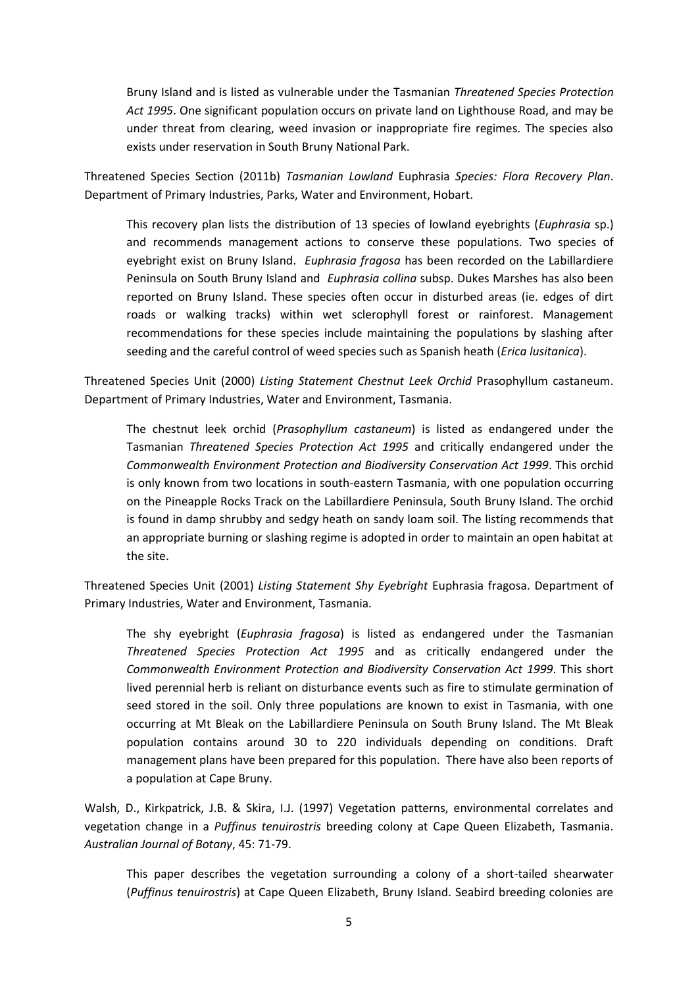Bruny Island and is listed as vulnerable under the Tasmanian *Threatened Species Protection Act 1995*. One significant population occurs on private land on Lighthouse Road, and may be under threat from clearing, weed invasion or inappropriate fire regimes. The species also exists under reservation in South Bruny National Park.

Threatened Species Section (2011b) *Tasmanian Lowland* Euphrasia *Species: Flora Recovery Plan*. Department of Primary Industries, Parks, Water and Environment, Hobart.

This recovery plan lists the distribution of 13 species of lowland eyebrights (*Euphrasia* sp.) and recommends management actions to conserve these populations. Two species of eyebright exist on Bruny Island. *Euphrasia fragosa* has been recorded on the Labillardiere Peninsula on South Bruny Island and *Euphrasia collina* subsp. Dukes Marshes has also been reported on Bruny Island. These species often occur in disturbed areas (ie. edges of dirt roads or walking tracks) within wet sclerophyll forest or rainforest. Management recommendations for these species include maintaining the populations by slashing after seeding and the careful control of weed species such as Spanish heath (*Erica lusitanica*).

Threatened Species Unit (2000) *Listing Statement Chestnut Leek Orchid* Prasophyllum castaneum. Department of Primary Industries, Water and Environment, Tasmania.

The chestnut leek orchid (*Prasophyllum castaneum*) is listed as endangered under the Tasmanian *Threatened Species Protection Act 1995* and critically endangered under the *Commonwealth Environment Protection and Biodiversity Conservation Act 1999*. This orchid is only known from two locations in south-eastern Tasmania, with one population occurring on the Pineapple Rocks Track on the Labillardiere Peninsula, South Bruny Island. The orchid is found in damp shrubby and sedgy heath on sandy loam soil. The listing recommends that an appropriate burning or slashing regime is adopted in order to maintain an open habitat at the site.

Threatened Species Unit (2001) *Listing Statement Shy Eyebright* Euphrasia fragosa. Department of Primary Industries, Water and Environment, Tasmania.

The shy eyebright (*Euphrasia fragosa*) is listed as endangered under the Tasmanian *Threatened Species Protection Act 1995* and as critically endangered under the *Commonwealth Environment Protection and Biodiversity Conservation Act 1999*. This short lived perennial herb is reliant on disturbance events such as fire to stimulate germination of seed stored in the soil. Only three populations are known to exist in Tasmania, with one occurring at Mt Bleak on the Labillardiere Peninsula on South Bruny Island. The Mt Bleak population contains around 30 to 220 individuals depending on conditions. Draft management plans have been prepared for this population. There have also been reports of a population at Cape Bruny.

Walsh, D., Kirkpatrick, J.B. & Skira, I.J. (1997) Vegetation patterns, environmental correlates and vegetation change in a *Puffinus tenuirostris* breeding colony at Cape Queen Elizabeth, Tasmania. *Australian Journal of Botany*, 45: 71-79.

This paper describes the vegetation surrounding a colony of a short-tailed shearwater (*Puffinus tenuirostris*) at Cape Queen Elizabeth, Bruny Island. Seabird breeding colonies are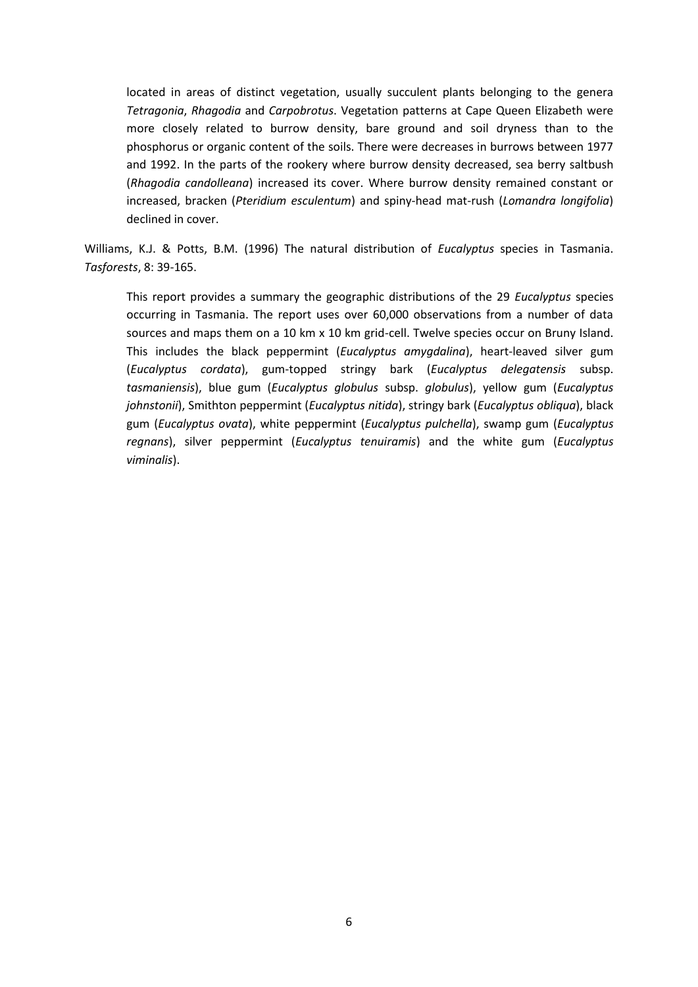located in areas of distinct vegetation, usually succulent plants belonging to the genera *Tetragonia*, *Rhagodia* and *Carpobrotus*. Vegetation patterns at Cape Queen Elizabeth were more closely related to burrow density, bare ground and soil dryness than to the phosphorus or organic content of the soils. There were decreases in burrows between 1977 and 1992. In the parts of the rookery where burrow density decreased, sea berry saltbush (*Rhagodia candolleana*) increased its cover. Where burrow density remained constant or increased, bracken (*Pteridium esculentum*) and spiny-head mat-rush (*Lomandra longifolia*) declined in cover.

Williams, K.J. & Potts, B.M. (1996) The natural distribution of *Eucalyptus* species in Tasmania. *Tasforests*, 8: 39-165.

This report provides a summary the geographic distributions of the 29 *Eucalyptus* species occurring in Tasmania. The report uses over 60,000 observations from a number of data sources and maps them on a 10 km x 10 km grid-cell. Twelve species occur on Bruny Island. This includes the black peppermint (*Eucalyptus amygdalina*), heart-leaved silver gum (*Eucalyptus cordata*), gum-topped stringy bark (*Eucalyptus delegatensis* subsp. *tasmaniensis*), blue gum (*Eucalyptus globulus* subsp. *globulus*), yellow gum (*Eucalyptus johnstonii*), Smithton peppermint (*Eucalyptus nitida*), stringy bark (*Eucalyptus obliqua*), black gum (*Eucalyptus ovata*), white peppermint (*Eucalyptus pulchella*), swamp gum (*Eucalyptus regnans*), silver peppermint (*Eucalyptus tenuiramis*) and the white gum (*Eucalyptus viminalis*).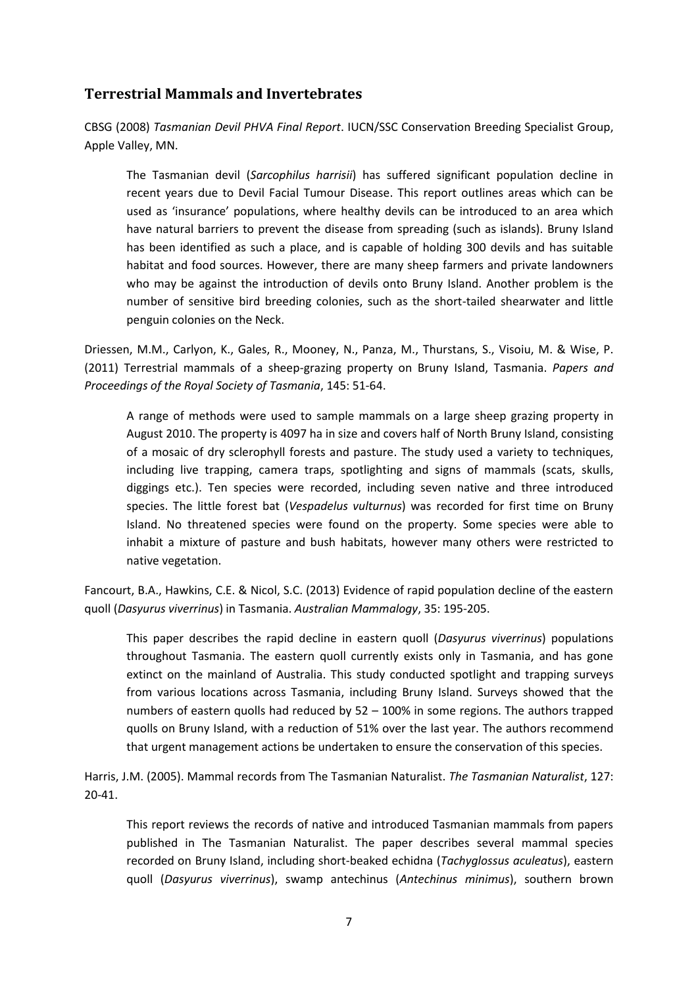### <span id="page-6-0"></span>**Terrestrial Mammals and Invertebrates**

CBSG (2008) *Tasmanian Devil PHVA Final Report*. IUCN/SSC Conservation Breeding Specialist Group, Apple Valley, MN.

The Tasmanian devil (*Sarcophilus harrisii*) has suffered significant population decline in recent years due to Devil Facial Tumour Disease. This report outlines areas which can be used as 'insurance' populations, where healthy devils can be introduced to an area which have natural barriers to prevent the disease from spreading (such as islands). Bruny Island has been identified as such a place, and is capable of holding 300 devils and has suitable habitat and food sources. However, there are many sheep farmers and private landowners who may be against the introduction of devils onto Bruny Island. Another problem is the number of sensitive bird breeding colonies, such as the short-tailed shearwater and little penguin colonies on the Neck.

Driessen, M.M., Carlyon, K., Gales, R., Mooney, N., Panza, M., Thurstans, S., Visoiu, M. & Wise, P. (2011) Terrestrial mammals of a sheep-grazing property on Bruny Island, Tasmania. *Papers and Proceedings of the Royal Society of Tasmania*, 145: 51-64.

A range of methods were used to sample mammals on a large sheep grazing property in August 2010. The property is 4097 ha in size and covers half of North Bruny Island, consisting of a mosaic of dry sclerophyll forests and pasture. The study used a variety to techniques, including live trapping, camera traps, spotlighting and signs of mammals (scats, skulls, diggings etc.). Ten species were recorded, including seven native and three introduced species. The little forest bat (*Vespadelus vulturnus*) was recorded for first time on Bruny Island. No threatened species were found on the property. Some species were able to inhabit a mixture of pasture and bush habitats, however many others were restricted to native vegetation.

Fancourt, B.A., Hawkins, C.E. & Nicol, S.C. (2013) Evidence of rapid population decline of the eastern quoll (*Dasyurus viverrinus*) in Tasmania. *Australian Mammalogy*, 35: 195-205.

This paper describes the rapid decline in eastern quoll (*Dasyurus viverrinus*) populations throughout Tasmania. The eastern quoll currently exists only in Tasmania, and has gone extinct on the mainland of Australia. This study conducted spotlight and trapping surveys from various locations across Tasmania, including Bruny Island. Surveys showed that the numbers of eastern quolls had reduced by 52 – 100% in some regions. The authors trapped quolls on Bruny Island, with a reduction of 51% over the last year. The authors recommend that urgent management actions be undertaken to ensure the conservation of this species.

Harris, J.M. (2005). Mammal records from The Tasmanian Naturalist. *The Tasmanian Naturalist*, 127: 20-41.

This report reviews the records of native and introduced Tasmanian mammals from papers published in The Tasmanian Naturalist. The paper describes several mammal species recorded on Bruny Island, including short-beaked echidna (*Tachyglossus aculeatus*), eastern quoll (*Dasyurus viverrinus*), swamp antechinus (*Antechinus minimus*), southern brown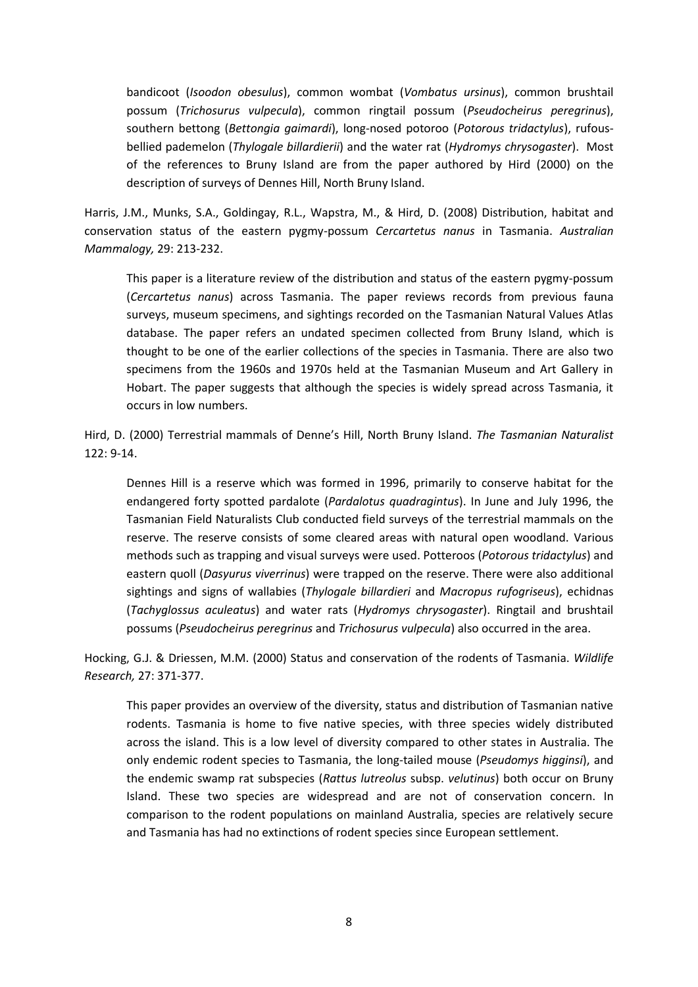bandicoot (*Isoodon obesulus*), common wombat (*Vombatus ursinus*), common brushtail possum (*Trichosurus vulpecula*), common ringtail possum (*Pseudocheirus peregrinus*), southern bettong (*Bettongia gaimardi*), long-nosed potoroo (*Potorous tridactylus*), rufousbellied pademelon (*Thylogale billardierii*) and the water rat (*Hydromys chrysogaster*). Most of the references to Bruny Island are from the paper authored by Hird (2000) on the description of surveys of Dennes Hill, North Bruny Island.

Harris, J.M., Munks, S.A., Goldingay, R.L., Wapstra, M., & Hird, D. (2008) Distribution, habitat and conservation status of the eastern pygmy-possum *Cercartetus nanus* in Tasmania. *Australian Mammalogy,* 29: 213-232.

This paper is a literature review of the distribution and status of the eastern pygmy-possum (*Cercartetus nanus*) across Tasmania. The paper reviews records from previous fauna surveys, museum specimens, and sightings recorded on the Tasmanian Natural Values Atlas database. The paper refers an undated specimen collected from Bruny Island, which is thought to be one of the earlier collections of the species in Tasmania. There are also two specimens from the 1960s and 1970s held at the Tasmanian Museum and Art Gallery in Hobart. The paper suggests that although the species is widely spread across Tasmania, it occurs in low numbers.

Hird, D. (2000) Terrestrial mammals of Denne's Hill, North Bruny Island. *The Tasmanian Naturalist* 122: 9-14.

Dennes Hill is a reserve which was formed in 1996, primarily to conserve habitat for the endangered forty spotted pardalote (*Pardalotus quadragintus*). In June and July 1996, the Tasmanian Field Naturalists Club conducted field surveys of the terrestrial mammals on the reserve. The reserve consists of some cleared areas with natural open woodland. Various methods such as trapping and visual surveys were used. Potteroos (*Potorous tridactylus*) and eastern quoll (*Dasyurus viverrinus*) were trapped on the reserve. There were also additional sightings and signs of wallabies (*Thylogale billardieri* and *Macropus rufogriseus*), echidnas (*Tachyglossus aculeatus*) and water rats (*Hydromys chrysogaster*). Ringtail and brushtail possums (*Pseudocheirus peregrinus* and *Trichosurus vulpecula*) also occurred in the area.

Hocking, G.J. & Driessen, M.M. (2000) Status and conservation of the rodents of Tasmania. *Wildlife Research,* 27: 371-377.

This paper provides an overview of the diversity, status and distribution of Tasmanian native rodents. Tasmania is home to five native species, with three species widely distributed across the island. This is a low level of diversity compared to other states in Australia. The only endemic rodent species to Tasmania, the long-tailed mouse (*Pseudomys higginsi*), and the endemic swamp rat subspecies (*Rattus lutreolus* subsp. *velutinus*) both occur on Bruny Island. These two species are widespread and are not of conservation concern. In comparison to the rodent populations on mainland Australia, species are relatively secure and Tasmania has had no extinctions of rodent species since European settlement.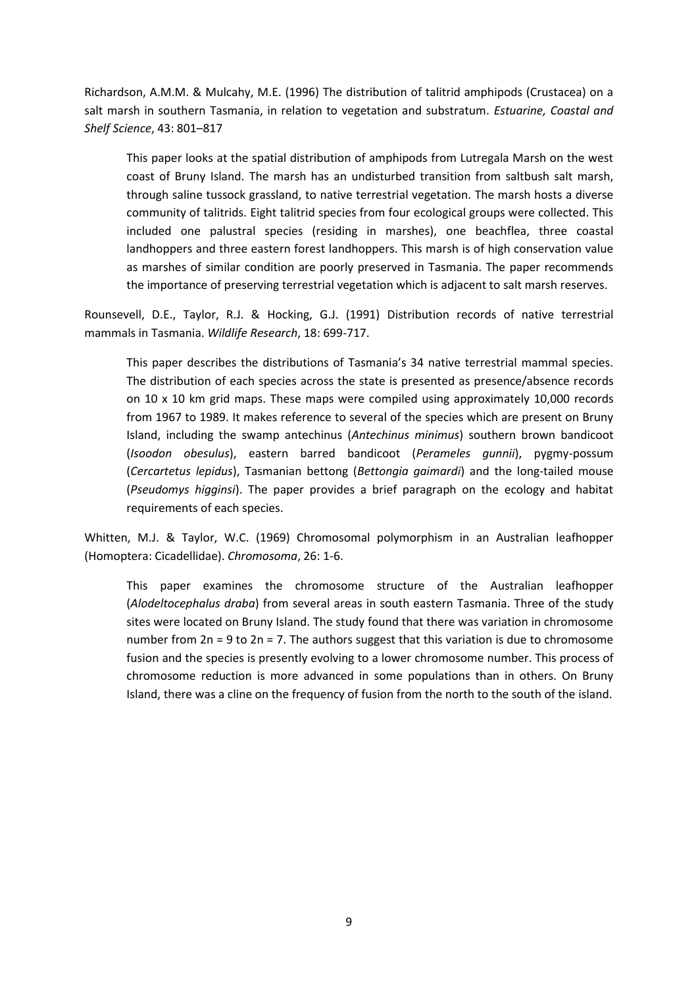Richardson, A.M.M. & Mulcahy, M.E. (1996) The distribution of talitrid amphipods (Crustacea) on a salt marsh in southern Tasmania, in relation to vegetation and substratum. *Estuarine, Coastal and Shelf Science*, 43: 801–817

This paper looks at the spatial distribution of amphipods from Lutregala Marsh on the west coast of Bruny Island. The marsh has an undisturbed transition from saltbush salt marsh, through saline tussock grassland, to native terrestrial vegetation. The marsh hosts a diverse community of talitrids. Eight talitrid species from four ecological groups were collected. This included one palustral species (residing in marshes), one beachflea, three coastal landhoppers and three eastern forest landhoppers. This marsh is of high conservation value as marshes of similar condition are poorly preserved in Tasmania. The paper recommends the importance of preserving terrestrial vegetation which is adjacent to salt marsh reserves.

Rounsevell, D.E., Taylor, R.J. & Hocking, G.J. (1991) Distribution records of native terrestrial mammals in Tasmania. *Wildlife Research*, 18: 699-717.

This paper describes the distributions of Tasmania's 34 native terrestrial mammal species. The distribution of each species across the state is presented as presence/absence records on 10 x 10 km grid maps. These maps were compiled using approximately 10,000 records from 1967 to 1989. It makes reference to several of the species which are present on Bruny Island, including the swamp antechinus (*Antechinus minimus*) southern brown bandicoot (*Isoodon obesulus*), eastern barred bandicoot (*Perameles gunnii*), pygmy-possum (*Cercartetus lepidus*), Tasmanian bettong (*Bettongia gaimardi*) and the long-tailed mouse (*Pseudomys higginsi*). The paper provides a brief paragraph on the ecology and habitat requirements of each species.

Whitten, M.J. & Taylor, W.C. (1969) Chromosomal polymorphism in an Australian leafhopper (Homoptera: Cicadellidae). *Chromosoma*, 26: 1-6.

This paper examines the chromosome structure of the Australian leafhopper (*Alodeltocephalus draba*) from several areas in south eastern Tasmania. Three of the study sites were located on Bruny Island. The study found that there was variation in chromosome number from 2n = 9 to 2n = 7. The authors suggest that this variation is due to chromosome fusion and the species is presently evolving to a lower chromosome number. This process of chromosome reduction is more advanced in some populations than in others. On Bruny Island, there was a cline on the frequency of fusion from the north to the south of the island.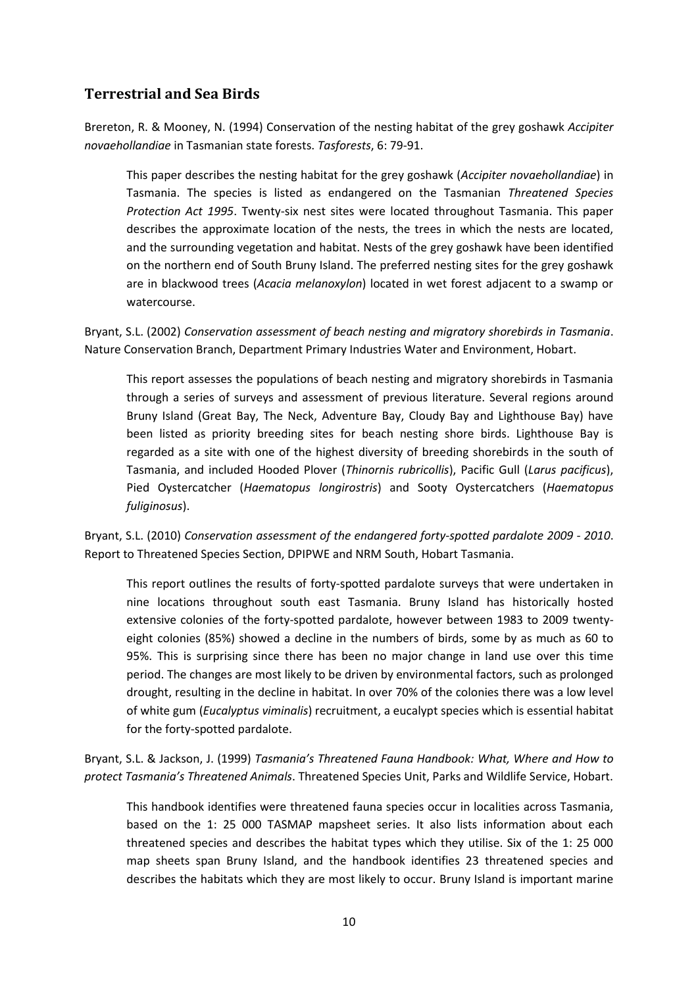# <span id="page-9-0"></span>**Terrestrial and Sea Birds**

Brereton, R. & Mooney, N. (1994) Conservation of the nesting habitat of the grey goshawk *Accipiter novaehollandiae* in Tasmanian state forests. *Tasforests*, 6: 79-91.

This paper describes the nesting habitat for the grey goshawk (*Accipiter novaehollandiae*) in Tasmania. The species is listed as endangered on the Tasmanian *Threatened Species Protection Act 1995*. Twenty-six nest sites were located throughout Tasmania. This paper describes the approximate location of the nests, the trees in which the nests are located, and the surrounding vegetation and habitat. Nests of the grey goshawk have been identified on the northern end of South Bruny Island. The preferred nesting sites for the grey goshawk are in blackwood trees (*Acacia melanoxylon*) located in wet forest adjacent to a swamp or watercourse.

Bryant, S.L. (2002) *Conservation assessment of beach nesting and migratory shorebirds in Tasmania*. Nature Conservation Branch, Department Primary Industries Water and Environment, Hobart.

This report assesses the populations of beach nesting and migratory shorebirds in Tasmania through a series of surveys and assessment of previous literature. Several regions around Bruny Island (Great Bay, The Neck, Adventure Bay, Cloudy Bay and Lighthouse Bay) have been listed as priority breeding sites for beach nesting shore birds. Lighthouse Bay is regarded as a site with one of the highest diversity of breeding shorebirds in the south of Tasmania, and included Hooded Plover (*Thinornis rubricollis*), Pacific Gull (*Larus pacificus*), Pied Oystercatcher (*Haematopus longirostris*) and Sooty Oystercatchers (*Haematopus fuliginosus*).

Bryant, S.L. (2010) *Conservation assessment of the endangered forty-spotted pardalote 2009 - 2010*. Report to Threatened Species Section, DPIPWE and NRM South, Hobart Tasmania.

This report outlines the results of forty-spotted pardalote surveys that were undertaken in nine locations throughout south east Tasmania. Bruny Island has historically hosted extensive colonies of the forty-spotted pardalote, however between 1983 to 2009 twentyeight colonies (85%) showed a decline in the numbers of birds, some by as much as 60 to 95%. This is surprising since there has been no major change in land use over this time period. The changes are most likely to be driven by environmental factors, such as prolonged drought, resulting in the decline in habitat. In over 70% of the colonies there was a low level of white gum (*Eucalyptus viminalis*) recruitment, a eucalypt species which is essential habitat for the forty-spotted pardalote.

Bryant, S.L. & Jackson, J. (1999) *Tasmania's Threatened Fauna Handbook: What, Where and How to protect Tasmania's Threatened Animals*. Threatened Species Unit, Parks and Wildlife Service, Hobart.

This handbook identifies were threatened fauna species occur in localities across Tasmania, based on the 1: 25 000 TASMAP mapsheet series. It also lists information about each threatened species and describes the habitat types which they utilise. Six of the 1: 25 000 map sheets span Bruny Island, and the handbook identifies 23 threatened species and describes the habitats which they are most likely to occur. Bruny Island is important marine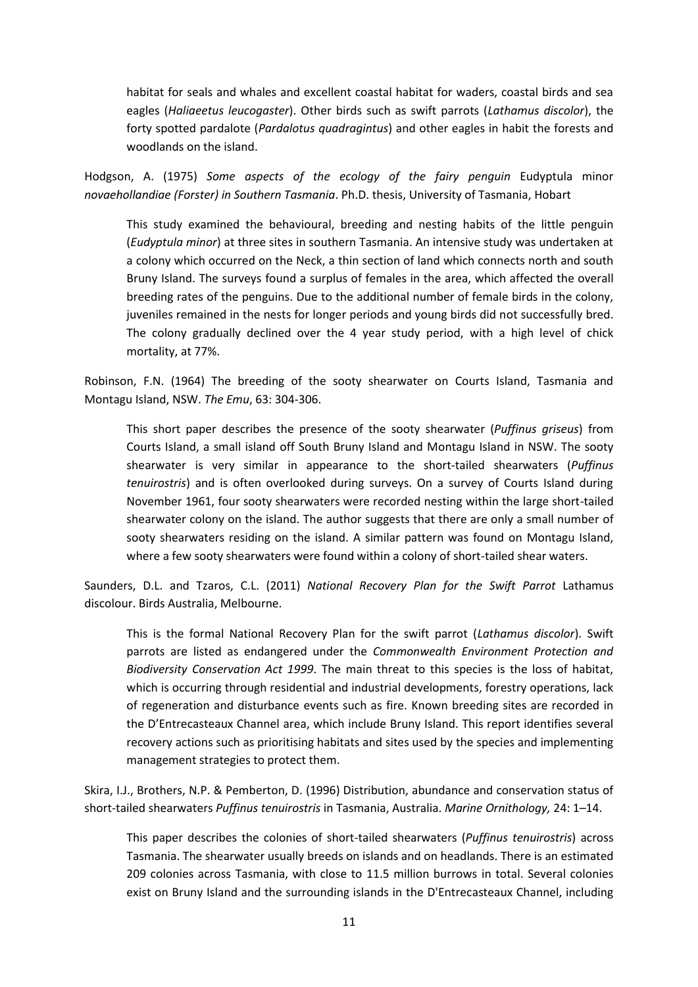habitat for seals and whales and excellent coastal habitat for waders, coastal birds and sea eagles (*Haliaeetus leucogaster*). Other birds such as swift parrots (*Lathamus discolor*), the forty spotted pardalote (*Pardalotus quadragintus*) and other eagles in habit the forests and woodlands on the island.

Hodgson, A. (1975) *Some aspects of the ecology of the fairy penguin* Eudyptula minor *novaehollandiae (Forster) in Southern Tasmania*. Ph.D. thesis, University of Tasmania, Hobart

This study examined the behavioural, breeding and nesting habits of the little penguin (*Eudyptula minor*) at three sites in southern Tasmania. An intensive study was undertaken at a colony which occurred on the Neck, a thin section of land which connects north and south Bruny Island. The surveys found a surplus of females in the area, which affected the overall breeding rates of the penguins. Due to the additional number of female birds in the colony, juveniles remained in the nests for longer periods and young birds did not successfully bred. The colony gradually declined over the 4 year study period, with a high level of chick mortality, at 77%.

Robinson, F.N. (1964) The breeding of the sooty shearwater on Courts Island, Tasmania and Montagu Island, NSW. *The Emu*, 63: 304-306.

This short paper describes the presence of the sooty shearwater (*Puffinus griseus*) from Courts Island, a small island off South Bruny Island and Montagu Island in NSW. The sooty shearwater is very similar in appearance to the short-tailed shearwaters (*Puffinus tenuirostris*) and is often overlooked during surveys. On a survey of Courts Island during November 1961, four sooty shearwaters were recorded nesting within the large short-tailed shearwater colony on the island. The author suggests that there are only a small number of sooty shearwaters residing on the island. A similar pattern was found on Montagu Island, where a few sooty shearwaters were found within a colony of short-tailed shear waters.

Saunders, D.L. and Tzaros, C.L. (2011) *National Recovery Plan for the Swift Parrot* Lathamus discolour. Birds Australia, Melbourne.

This is the formal National Recovery Plan for the swift parrot (*Lathamus discolor*). Swift parrots are listed as endangered under the *Commonwealth Environment Protection and Biodiversity Conservation Act 1999*. The main threat to this species is the loss of habitat, which is occurring through residential and industrial developments, forestry operations, lack of regeneration and disturbance events such as fire. Known breeding sites are recorded in the D'Entrecasteaux Channel area, which include Bruny Island. This report identifies several recovery actions such as prioritising habitats and sites used by the species and implementing management strategies to protect them.

Skira, I.J., Brothers, N.P. & Pemberton, D. (1996) Distribution, abundance and conservation status of short-tailed shearwaters *Puffinus tenuirostris* in Tasmania, Australia. *Marine Ornithology,* 24: 1–14.

This paper describes the colonies of short-tailed shearwaters (*Puffinus tenuirostris*) across Tasmania. The shearwater usually breeds on islands and on headlands. There is an estimated 209 colonies across Tasmania, with close to 11.5 million burrows in total. Several colonies exist on Bruny Island and the surrounding islands in the D'Entrecasteaux Channel, including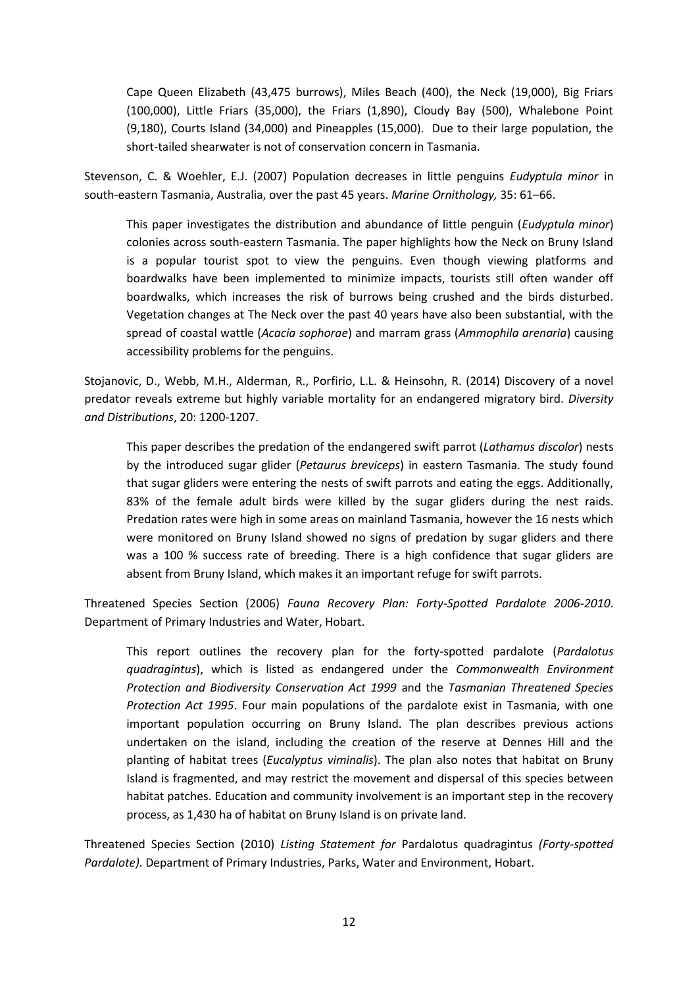Cape Queen Elizabeth (43,475 burrows), Miles Beach (400), the Neck (19,000), Big Friars (100,000), Little Friars (35,000), the Friars (1,890), Cloudy Bay (500), Whalebone Point (9,180), Courts Island (34,000) and Pineapples (15,000). Due to their large population, the short-tailed shearwater is not of conservation concern in Tasmania.

Stevenson, C. & Woehler, E.J. (2007) Population decreases in little penguins *Eudyptula minor* in south-eastern Tasmania, Australia, over the past 45 years. *Marine Ornithology,* 35: 61–66.

This paper investigates the distribution and abundance of little penguin (*Eudyptula minor*) colonies across south-eastern Tasmania. The paper highlights how the Neck on Bruny Island is a popular tourist spot to view the penguins. Even though viewing platforms and boardwalks have been implemented to minimize impacts, tourists still often wander off boardwalks, which increases the risk of burrows being crushed and the birds disturbed. Vegetation changes at The Neck over the past 40 years have also been substantial, with the spread of coastal wattle (*Acacia sophorae*) and marram grass (*Ammophila arenaria*) causing accessibility problems for the penguins.

Stojanovic, D., Webb, M.H., Alderman, R., Porfirio, L.L. & Heinsohn, R. (2014) Discovery of a novel predator reveals extreme but highly variable mortality for an endangered migratory bird. *Diversity and Distributions*, 20: 1200-1207.

This paper describes the predation of the endangered swift parrot (*Lathamus discolor*) nests by the introduced sugar glider (*Petaurus breviceps*) in eastern Tasmania. The study found that sugar gliders were entering the nests of swift parrots and eating the eggs. Additionally, 83% of the female adult birds were killed by the sugar gliders during the nest raids. Predation rates were high in some areas on mainland Tasmania, however the 16 nests which were monitored on Bruny Island showed no signs of predation by sugar gliders and there was a 100 % success rate of breeding. There is a high confidence that sugar gliders are absent from Bruny Island, which makes it an important refuge for swift parrots.

Threatened Species Section (2006) *Fauna Recovery Plan: Forty-Spotted Pardalote 2006-2010*. Department of Primary Industries and Water, Hobart.

This report outlines the recovery plan for the forty-spotted pardalote (*Pardalotus quadragintus*), which is listed as endangered under the *Commonwealth Environment Protection and Biodiversity Conservation Act 1999* and the *Tasmanian Threatened Species Protection Act 1995*. Four main populations of the pardalote exist in Tasmania, with one important population occurring on Bruny Island. The plan describes previous actions undertaken on the island, including the creation of the reserve at Dennes Hill and the planting of habitat trees (*Eucalyptus viminalis*). The plan also notes that habitat on Bruny Island is fragmented, and may restrict the movement and dispersal of this species between habitat patches. Education and community involvement is an important step in the recovery process, as 1,430 ha of habitat on Bruny Island is on private land.

Threatened Species Section (2010) *Listing Statement for* Pardalotus quadragintus *(Forty-spotted Pardalote).* Department of Primary Industries, Parks, Water and Environment, Hobart.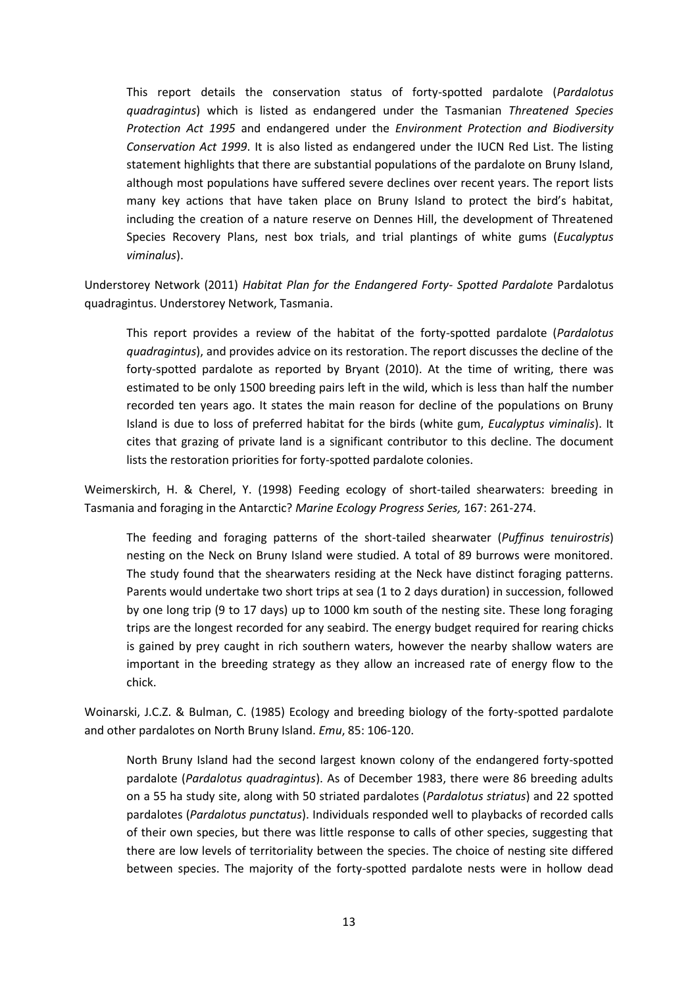This report details the conservation status of forty-spotted pardalote (*Pardalotus quadragintus*) which is listed as endangered under the Tasmanian *Threatened Species Protection Act 1995* and endangered under the *Environment Protection and Biodiversity Conservation Act 1999*. It is also listed as endangered under the IUCN Red List. The listing statement highlights that there are substantial populations of the pardalote on Bruny Island, although most populations have suffered severe declines over recent years. The report lists many key actions that have taken place on Bruny Island to protect the bird's habitat, including the creation of a nature reserve on Dennes Hill, the development of Threatened Species Recovery Plans, nest box trials, and trial plantings of white gums (*Eucalyptus viminalus*).

Understorey Network (2011) *Habitat Plan for the Endangered Forty- Spotted Pardalote* Pardalotus quadragintus. Understorey Network, Tasmania.

This report provides a review of the habitat of the forty-spotted pardalote (*Pardalotus quadragintus*), and provides advice on its restoration. The report discusses the decline of the forty-spotted pardalote as reported by Bryant (2010). At the time of writing, there was estimated to be only 1500 breeding pairs left in the wild, which is less than half the number recorded ten years ago. It states the main reason for decline of the populations on Bruny Island is due to loss of preferred habitat for the birds (white gum, *Eucalyptus viminalis*). It cites that grazing of private land is a significant contributor to this decline. The document lists the restoration priorities for forty-spotted pardalote colonies.

Weimerskirch, H. & Cherel, Y. (1998) Feeding ecology of short-tailed shearwaters: breeding in Tasmania and foraging in the Antarctic? *Marine Ecology Progress Series,* 167: 261-274.

The feeding and foraging patterns of the short-tailed shearwater (*Puffinus tenuirostris*) nesting on the Neck on Bruny Island were studied. A total of 89 burrows were monitored. The study found that the shearwaters residing at the Neck have distinct foraging patterns. Parents would undertake two short trips at sea (1 to 2 days duration) in succession, followed by one long trip (9 to 17 days) up to 1000 km south of the nesting site. These long foraging trips are the longest recorded for any seabird. The energy budget required for rearing chicks is gained by prey caught in rich southern waters, however the nearby shallow waters are important in the breeding strategy as they allow an increased rate of energy flow to the chick.

Woinarski, J.C.Z. & Bulman, C. (1985) Ecology and breeding biology of the forty-spotted pardalote and other pardalotes on North Bruny Island. *Emu*, 85: 106-120.

North Bruny Island had the second largest known colony of the endangered forty-spotted pardalote (*Pardalotus quadragintus*). As of December 1983, there were 86 breeding adults on a 55 ha study site, along with 50 striated pardalotes (*Pardalotus striatus*) and 22 spotted pardalotes (*Pardalotus punctatus*). Individuals responded well to playbacks of recorded calls of their own species, but there was little response to calls of other species, suggesting that there are low levels of territoriality between the species. The choice of nesting site differed between species. The majority of the forty-spotted pardalote nests were in hollow dead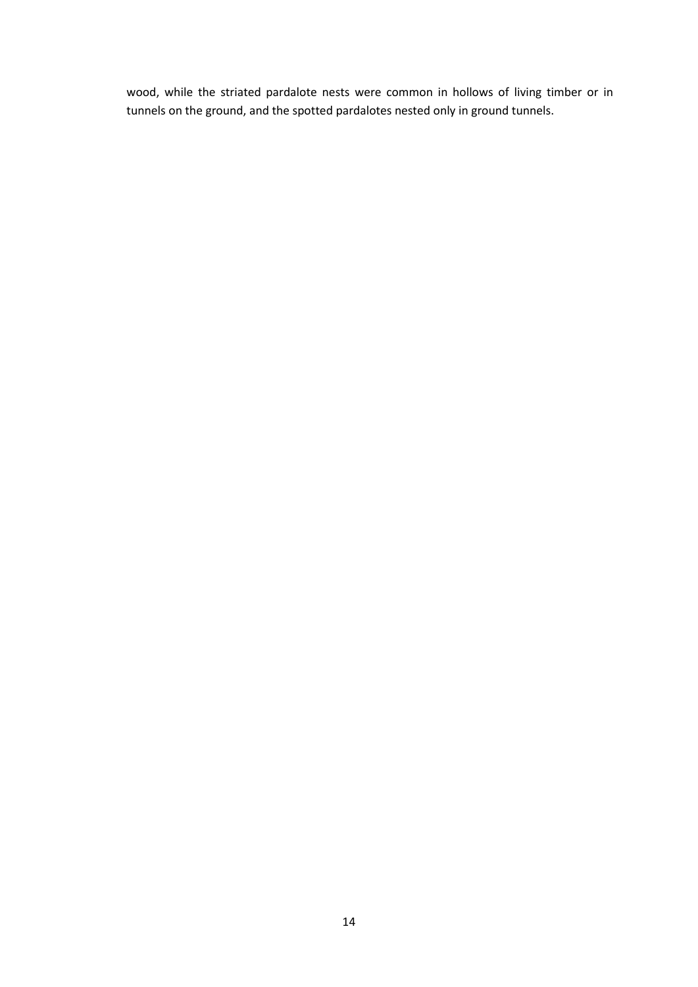wood, while the striated pardalote nests were common in hollows of living timber or in tunnels on the ground, and the spotted pardalotes nested only in ground tunnels.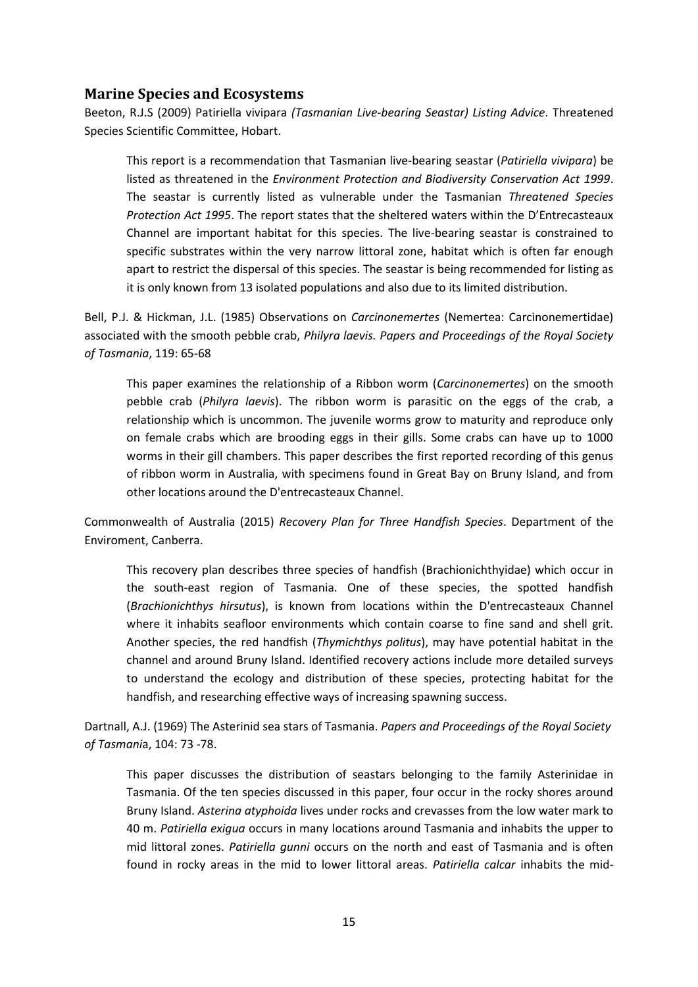#### <span id="page-14-0"></span>**Marine Species and Ecosystems**

Beeton, R.J.S (2009) Patiriella vivipara *(Tasmanian Live-bearing Seastar) Listing Advice*. Threatened Species Scientific Committee, Hobart.

This report is a recommendation that Tasmanian live-bearing seastar (*Patiriella vivipara*) be listed as threatened in the *Environment Protection and Biodiversity Conservation Act 1999*. The seastar is currently listed as vulnerable under the Tasmanian *Threatened Species Protection Act 1995*. The report states that the sheltered waters within the D'Entrecasteaux Channel are important habitat for this species. The live-bearing seastar is constrained to specific substrates within the very narrow littoral zone, habitat which is often far enough apart to restrict the dispersal of this species. The seastar is being recommended for listing as it is only known from 13 isolated populations and also due to its limited distribution.

Bell, P.J. & Hickman, J.L. (1985) Observations on *Carcinonemertes* (Nemertea: Carcinonemertidae) associated with the smooth pebble crab, *Philyra laevis. Papers and Proceedings of the Royal Society of Tasmania*, 119: 65-68

This paper examines the relationship of a Ribbon worm (*Carcinonemertes*) on the smooth pebble crab (*Philyra laevis*). The ribbon worm is parasitic on the eggs of the crab, a relationship which is uncommon. The juvenile worms grow to maturity and reproduce only on female crabs which are brooding eggs in their gills. Some crabs can have up to 1000 worms in their gill chambers. This paper describes the first reported recording of this genus of ribbon worm in Australia, with specimens found in Great Bay on Bruny Island, and from other locations around the D'entrecasteaux Channel.

Commonwealth of Australia (2015) *Recovery Plan for Three Handfish Species*. Department of the Enviroment, Canberra.

This recovery plan describes three species of handfish (Brachionichthyidae) which occur in the south-east region of Tasmania. One of these species, the spotted handfish (*Brachionichthys hirsutus*), is known from locations within the D'entrecasteaux Channel where it inhabits seafloor environments which contain coarse to fine sand and shell grit. Another species, the red handfish (*Thymichthys politus*), may have potential habitat in the channel and around Bruny Island. Identified recovery actions include more detailed surveys to understand the ecology and distribution of these species, protecting habitat for the handfish, and researching effective ways of increasing spawning success.

Dartnall, A.J. (1969) The Asterinid sea stars of Tasmania. *Papers and Proceedings of the Royal Society of Tasmani*a, 104: 73 -78.

This paper discusses the distribution of seastars belonging to the family Asterinidae in Tasmania. Of the ten species discussed in this paper, four occur in the rocky shores around Bruny Island. *Asterina atyphoida* lives under rocks and crevasses from the low water mark to 40 m. *Patiriella exigua* occurs in many locations around Tasmania and inhabits the upper to mid littoral zones. *Patiriella gunni* occurs on the north and east of Tasmania and is often found in rocky areas in the mid to lower littoral areas. *Patiriella calcar* inhabits the mid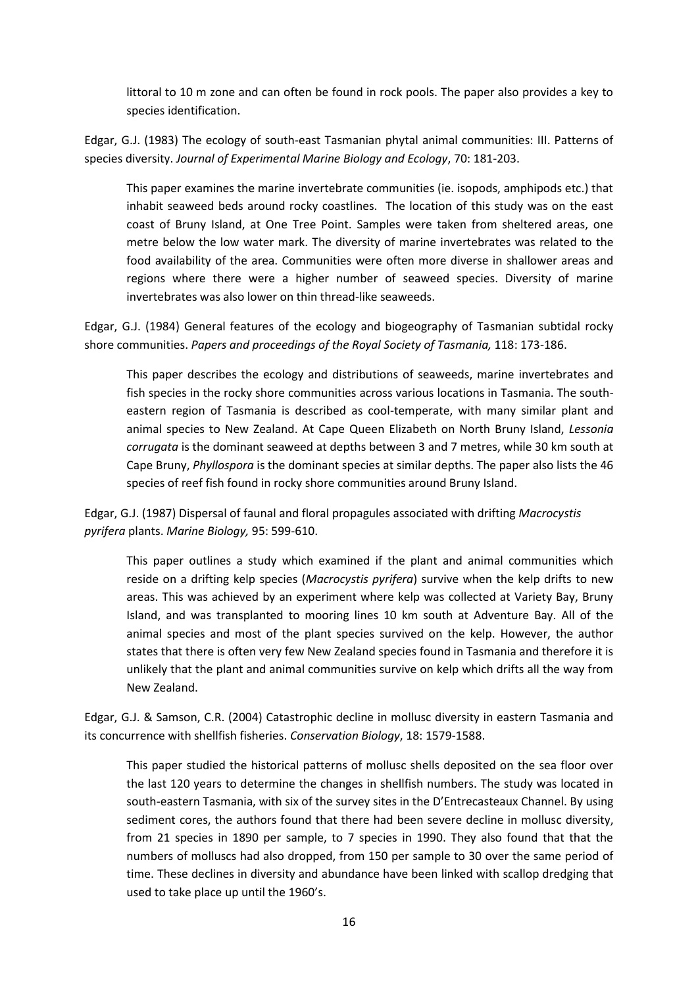littoral to 10 m zone and can often be found in rock pools. The paper also provides a key to species identification.

Edgar, G.J. (1983) The ecology of south-east Tasmanian phytal animal communities: III. Patterns of species diversity. *Journal of Experimental Marine Biology and Ecology*, 70: 181-203.

This paper examines the marine invertebrate communities (ie. isopods, amphipods etc.) that inhabit seaweed beds around rocky coastlines. The location of this study was on the east coast of Bruny Island, at One Tree Point. Samples were taken from sheltered areas, one metre below the low water mark. The diversity of marine invertebrates was related to the food availability of the area. Communities were often more diverse in shallower areas and regions where there were a higher number of seaweed species. Diversity of marine invertebrates was also lower on thin thread-like seaweeds.

Edgar, G.J. (1984) General features of the ecology and biogeography of Tasmanian subtidal rocky shore communities. *Papers and proceedings of the Royal Society of Tasmania,* 118: 173-186.

This paper describes the ecology and distributions of seaweeds, marine invertebrates and fish species in the rocky shore communities across various locations in Tasmania. The southeastern region of Tasmania is described as cool-temperate, with many similar plant and animal species to New Zealand. At Cape Queen Elizabeth on North Bruny Island, *Lessonia corrugata* is the dominant seaweed at depths between 3 and 7 metres, while 30 km south at Cape Bruny, *Phyllospora* is the dominant species at similar depths. The paper also lists the 46 species of reef fish found in rocky shore communities around Bruny Island.

Edgar, G.J. (1987) Dispersal of faunal and floral propagules associated with drifting *Macrocystis pyrifera* plants. *Marine Biology,* 95: 599-610.

This paper outlines a study which examined if the plant and animal communities which reside on a drifting kelp species (*Macrocystis pyrifera*) survive when the kelp drifts to new areas. This was achieved by an experiment where kelp was collected at Variety Bay, Bruny Island, and was transplanted to mooring lines 10 km south at Adventure Bay. All of the animal species and most of the plant species survived on the kelp. However, the author states that there is often very few New Zealand species found in Tasmania and therefore it is unlikely that the plant and animal communities survive on kelp which drifts all the way from New Zealand.

Edgar, G.J. & Samson, C.R. (2004) Catastrophic decline in mollusc diversity in eastern Tasmania and its concurrence with shellfish fisheries. *Conservation Biology*, 18: 1579-1588.

This paper studied the historical patterns of mollusc shells deposited on the sea floor over the last 120 years to determine the changes in shellfish numbers. The study was located in south-eastern Tasmania, with six of the survey sites in the D'Entrecasteaux Channel. By using sediment cores, the authors found that there had been severe decline in mollusc diversity, from 21 species in 1890 per sample, to 7 species in 1990. They also found that that the numbers of molluscs had also dropped, from 150 per sample to 30 over the same period of time. These declines in diversity and abundance have been linked with scallop dredging that used to take place up until the 1960's.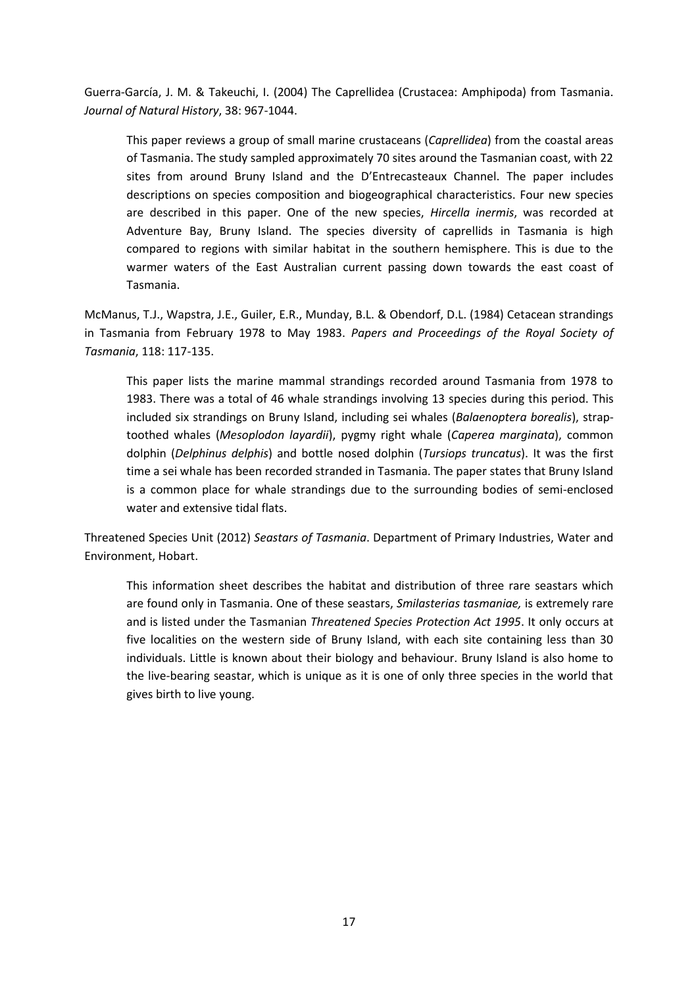Guerra-García, J. M. & Takeuchi, I. (2004) The Caprellidea (Crustacea: Amphipoda) from Tasmania. *Journal of Natural History*, 38: 967-1044.

This paper reviews a group of small marine crustaceans (*Caprellidea*) from the coastal areas of Tasmania. The study sampled approximately 70 sites around the Tasmanian coast, with 22 sites from around Bruny Island and the D'Entrecasteaux Channel. The paper includes descriptions on species composition and biogeographical characteristics. Four new species are described in this paper. One of the new species, *Hircella inermis*, was recorded at Adventure Bay, Bruny Island. The species diversity of caprellids in Tasmania is high compared to regions with similar habitat in the southern hemisphere. This is due to the warmer waters of the East Australian current passing down towards the east coast of Tasmania.

McManus, T.J., Wapstra, J.E., Guiler, E.R., Munday, B.L. & Obendorf, D.L. (1984) Cetacean strandings in Tasmania from February 1978 to May 1983. *Papers and Proceedings of the Royal Society of Tasmania*, 118: 117-135.

This paper lists the marine mammal strandings recorded around Tasmania from 1978 to 1983. There was a total of 46 whale strandings involving 13 species during this period. This included six strandings on Bruny Island, including sei whales (*Balaenoptera borealis*), straptoothed whales (*Mesoplodon layardii*), pygmy right whale (*Caperea marginata*), common dolphin (*Delphinus delphis*) and bottle nosed dolphin (*Tursiops truncatus*). It was the first time a sei whale has been recorded stranded in Tasmania. The paper states that Bruny Island is a common place for whale strandings due to the surrounding bodies of semi-enclosed water and extensive tidal flats.

Threatened Species Unit (2012) *Seastars of Tasmania*. Department of Primary Industries, Water and Environment, Hobart.

This information sheet describes the habitat and distribution of three rare seastars which are found only in Tasmania. One of these seastars, *Smilasterias tasmaniae,* is extremely rare and is listed under the Tasmanian *Threatened Species Protection Act 1995*. It only occurs at five localities on the western side of Bruny Island, with each site containing less than 30 individuals. Little is known about their biology and behaviour. Bruny Island is also home to the live-bearing seastar, which is unique as it is one of only three species in the world that gives birth to live young.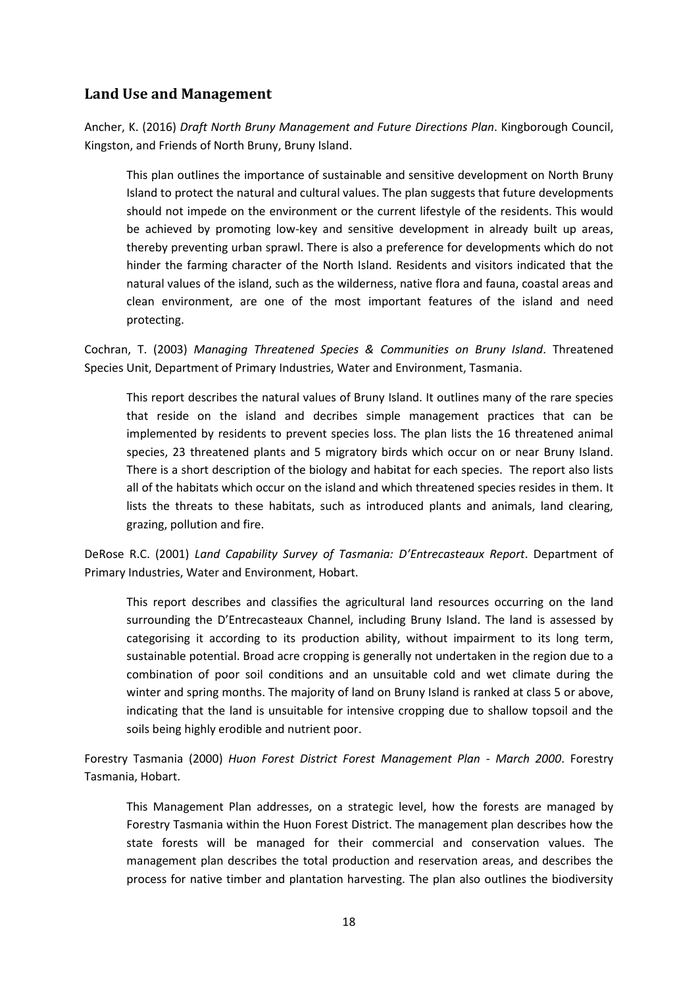# <span id="page-17-0"></span>**Land Use and Management**

Ancher, K. (2016) *Draft North Bruny Management and Future Directions Plan*. Kingborough Council, Kingston, and Friends of North Bruny, Bruny Island.

This plan outlines the importance of sustainable and sensitive development on North Bruny Island to protect the natural and cultural values. The plan suggests that future developments should not impede on the environment or the current lifestyle of the residents. This would be achieved by promoting low-key and sensitive development in already built up areas, thereby preventing urban sprawl. There is also a preference for developments which do not hinder the farming character of the North Island. Residents and visitors indicated that the natural values of the island, such as the wilderness, native flora and fauna, coastal areas and clean environment, are one of the most important features of the island and need protecting.

Cochran, T. (2003) *Managing Threatened Species & Communities on Bruny Island*. Threatened Species Unit, Department of Primary Industries, Water and Environment, Tasmania.

This report describes the natural values of Bruny Island. It outlines many of the rare species that reside on the island and decribes simple management practices that can be implemented by residents to prevent species loss. The plan lists the 16 threatened animal species, 23 threatened plants and 5 migratory birds which occur on or near Bruny Island. There is a short description of the biology and habitat for each species. The report also lists all of the habitats which occur on the island and which threatened species resides in them. It lists the threats to these habitats, such as introduced plants and animals, land clearing, grazing, pollution and fire.

DeRose R.C. (2001) *Land Capability Survey of Tasmania: D'Entrecasteaux Report*. Department of Primary Industries, Water and Environment, Hobart.

This report describes and classifies the agricultural land resources occurring on the land surrounding the D'Entrecasteaux Channel, including Bruny Island. The land is assessed by categorising it according to its production ability, without impairment to its long term, sustainable potential. Broad acre cropping is generally not undertaken in the region due to a combination of poor soil conditions and an unsuitable cold and wet climate during the winter and spring months. The majority of land on Bruny Island is ranked at class 5 or above, indicating that the land is unsuitable for intensive cropping due to shallow topsoil and the soils being highly erodible and nutrient poor.

Forestry Tasmania (2000) *Huon Forest District Forest Management Plan - March 2000*. Forestry Tasmania, Hobart.

This Management Plan addresses, on a strategic level, how the forests are managed by Forestry Tasmania within the Huon Forest District. The management plan describes how the state forests will be managed for their commercial and conservation values. The management plan describes the total production and reservation areas, and describes the process for native timber and plantation harvesting. The plan also outlines the biodiversity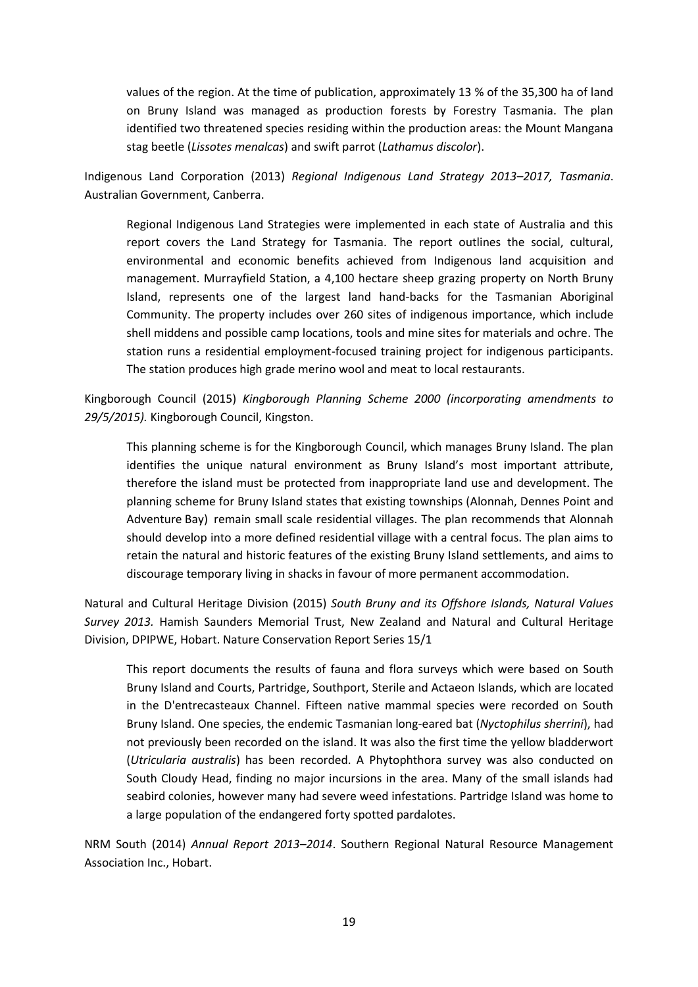values of the region. At the time of publication, approximately 13 % of the 35,300 ha of land on Bruny Island was managed as production forests by Forestry Tasmania. The plan identified two threatened species residing within the production areas: the Mount Mangana stag beetle (*Lissotes menalcas*) and swift parrot (*Lathamus discolor*).

Indigenous Land Corporation (2013) *Regional Indigenous Land Strategy 2013–2017, Tasmania*. Australian Government, Canberra.

Regional Indigenous Land Strategies were implemented in each state of Australia and this report covers the Land Strategy for Tasmania. The report outlines the social, cultural, environmental and economic benefits achieved from Indigenous land acquisition and management. Murrayfield Station, a 4,100 hectare sheep grazing property on North Bruny Island, represents one of the largest land hand-backs for the Tasmanian Aboriginal Community. The property includes over 260 sites of indigenous importance, which include shell middens and possible camp locations, tools and mine sites for materials and ochre. The station runs a residential employment-focused training project for indigenous participants. The station produces high grade merino wool and meat to local restaurants.

Kingborough Council (2015) *Kingborough Planning Scheme 2000 (incorporating amendments to 29/5/2015).* Kingborough Council, Kingston.

This planning scheme is for the Kingborough Council, which manages Bruny Island. The plan identifies the unique natural environment as Bruny Island's most important attribute, therefore the island must be protected from inappropriate land use and development. The planning scheme for Bruny Island states that existing townships (Alonnah, Dennes Point and Adventure Bay) remain small scale residential villages. The plan recommends that Alonnah should develop into a more defined residential village with a central focus. The plan aims to retain the natural and historic features of the existing Bruny Island settlements, and aims to discourage temporary living in shacks in favour of more permanent accommodation.

Natural and Cultural Heritage Division (2015) *South Bruny and its Offshore Islands, Natural Values Survey 2013.* Hamish Saunders Memorial Trust, New Zealand and Natural and Cultural Heritage Division, DPIPWE, Hobart. Nature Conservation Report Series 15/1

This report documents the results of fauna and flora surveys which were based on South Bruny Island and Courts, Partridge, Southport, Sterile and Actaeon Islands, which are located in the D'entrecasteaux Channel. Fifteen native mammal species were recorded on South Bruny Island. One species, the endemic Tasmanian long-eared bat (*Nyctophilus sherrini*), had not previously been recorded on the island. It was also the first time the yellow bladderwort (*Utricularia australis*) has been recorded. A Phytophthora survey was also conducted on South Cloudy Head, finding no major incursions in the area. Many of the small islands had seabird colonies, however many had severe weed infestations. Partridge Island was home to a large population of the endangered forty spotted pardalotes.

NRM South (2014) *Annual Report 2013–2014*. Southern Regional Natural Resource Management Association Inc., Hobart.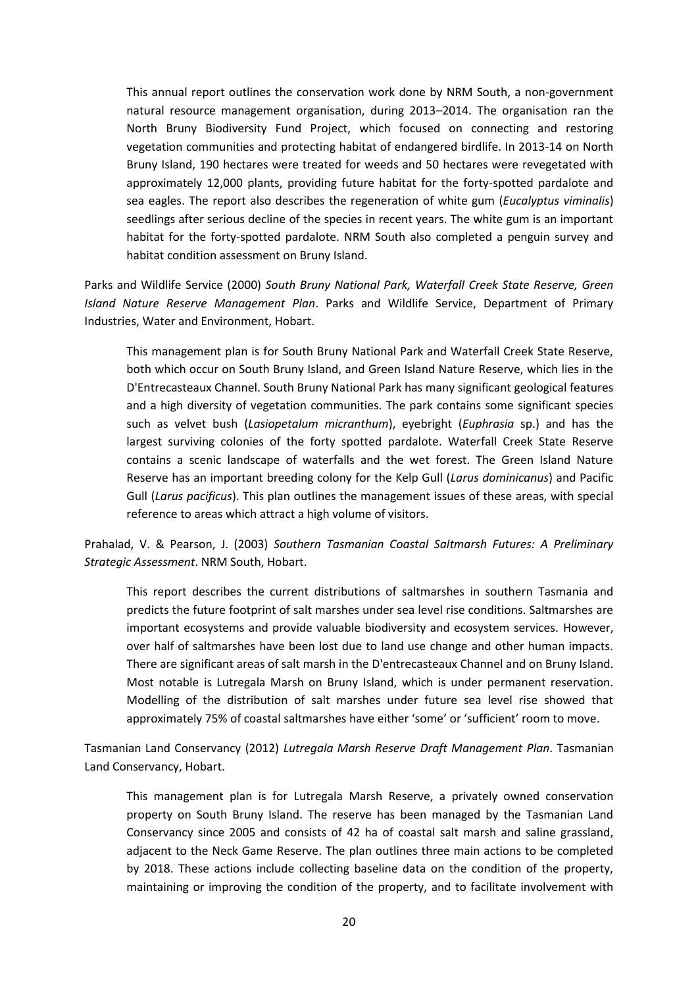This annual report outlines the conservation work done by NRM South, a non-government natural resource management organisation, during 2013–2014. The organisation ran the North Bruny Biodiversity Fund Project, which focused on connecting and restoring vegetation communities and protecting habitat of endangered birdlife. In 2013-14 on North Bruny Island, 190 hectares were treated for weeds and 50 hectares were revegetated with approximately 12,000 plants, providing future habitat for the forty-spotted pardalote and sea eagles. The report also describes the regeneration of white gum (*Eucalyptus viminalis*) seedlings after serious decline of the species in recent years. The white gum is an important habitat for the forty-spotted pardalote. NRM South also completed a penguin survey and habitat condition assessment on Bruny Island.

Parks and Wildlife Service (2000) *South Bruny National Park, Waterfall Creek State Reserve, Green Island Nature Reserve Management Plan*. Parks and Wildlife Service, Department of Primary Industries, Water and Environment, Hobart.

This management plan is for South Bruny National Park and Waterfall Creek State Reserve, both which occur on South Bruny Island, and Green Island Nature Reserve, which lies in the D'Entrecasteaux Channel. South Bruny National Park has many significant geological features and a high diversity of vegetation communities. The park contains some significant species such as velvet bush (*Lasiopetalum micranthum*), eyebright (*Euphrasia* sp.) and has the largest surviving colonies of the forty spotted pardalote. Waterfall Creek State Reserve contains a scenic landscape of waterfalls and the wet forest. The Green Island Nature Reserve has an important breeding colony for the Kelp Gull (*Larus dominicanus*) and Pacific Gull (*Larus pacificus*). This plan outlines the management issues of these areas, with special reference to areas which attract a high volume of visitors.

Prahalad, V. & Pearson, J. (2003) *Southern Tasmanian Coastal Saltmarsh Futures: A Preliminary Strategic Assessment*. NRM South, Hobart.

This report describes the current distributions of saltmarshes in southern Tasmania and predicts the future footprint of salt marshes under sea level rise conditions. Saltmarshes are important ecosystems and provide valuable biodiversity and ecosystem services. However, over half of saltmarshes have been lost due to land use change and other human impacts. There are significant areas of salt marsh in the D'entrecasteaux Channel and on Bruny Island. Most notable is Lutregala Marsh on Bruny Island, which is under permanent reservation. Modelling of the distribution of salt marshes under future sea level rise showed that approximately 75% of coastal saltmarshes have either 'some' or 'sufficient' room to move.

Tasmanian Land Conservancy (2012) *Lutregala Marsh Reserve Draft Management Plan*. Tasmanian Land Conservancy, Hobart.

This management plan is for Lutregala Marsh Reserve, a privately owned conservation property on South Bruny Island. The reserve has been managed by the Tasmanian Land Conservancy since 2005 and consists of 42 ha of coastal salt marsh and saline grassland, adjacent to the Neck Game Reserve. The plan outlines three main actions to be completed by 2018. These actions include collecting baseline data on the condition of the property, maintaining or improving the condition of the property, and to facilitate involvement with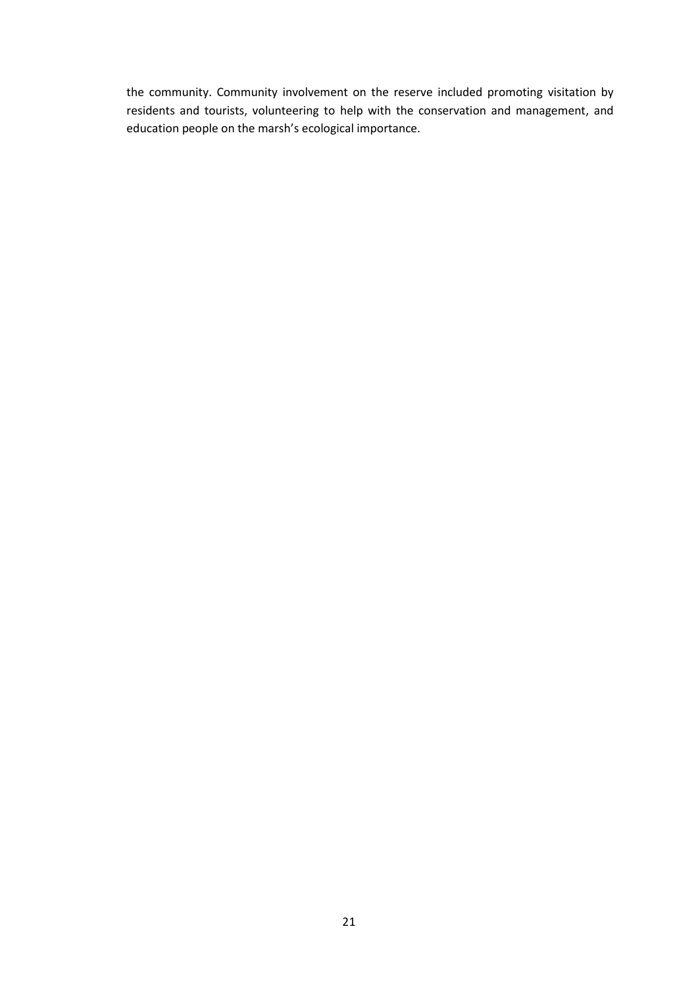the community. Community involvement on the reserve included promoting visitation by residents and tourists, volunteering to help with the conservation and management, and education people on the marsh's ecological importance.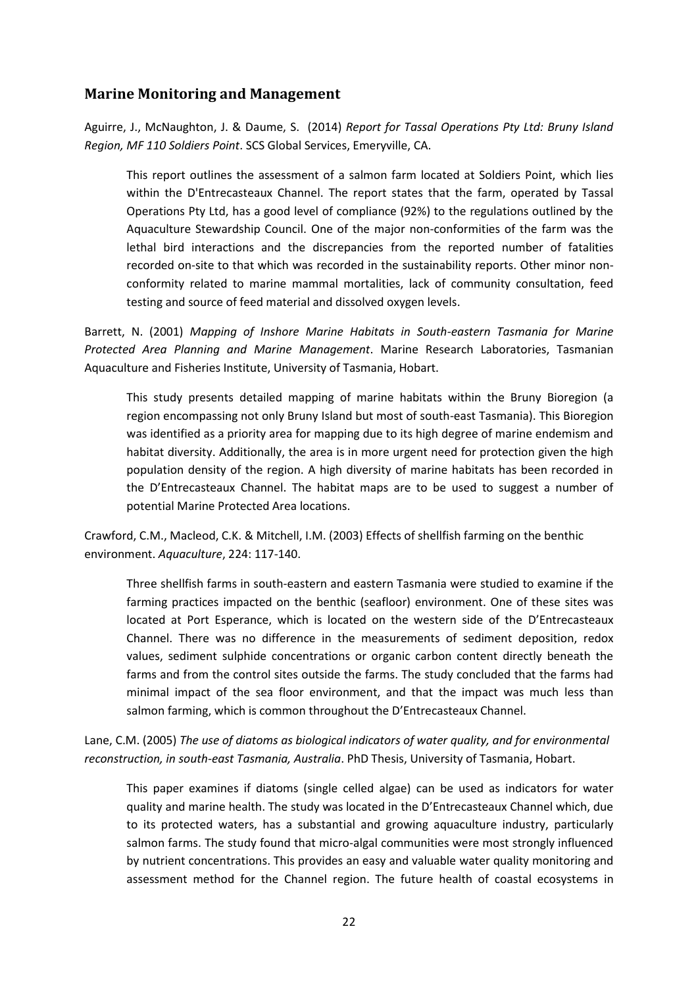#### <span id="page-21-0"></span>**Marine Monitoring and Management**

Aguirre, J., McNaughton, J. & Daume, S. (2014) *Report for Tassal Operations Pty Ltd: Bruny Island Region, MF 110 Soldiers Point*. SCS Global Services, Emeryville, CA.

This report outlines the assessment of a salmon farm located at Soldiers Point, which lies within the D'Entrecasteaux Channel. The report states that the farm, operated by Tassal Operations Pty Ltd, has a good level of compliance (92%) to the regulations outlined by the Aquaculture Stewardship Council. One of the major non-conformities of the farm was the lethal bird interactions and the discrepancies from the reported number of fatalities recorded on-site to that which was recorded in the sustainability reports. Other minor nonconformity related to marine mammal mortalities, lack of community consultation, feed testing and source of feed material and dissolved oxygen levels.

Barrett, N. (2001) *Mapping of Inshore Marine Habitats in South-eastern Tasmania for Marine Protected Area Planning and Marine Management*. Marine Research Laboratories, Tasmanian Aquaculture and Fisheries Institute, University of Tasmania, Hobart.

This study presents detailed mapping of marine habitats within the Bruny Bioregion (a region encompassing not only Bruny Island but most of south-east Tasmania). This Bioregion was identified as a priority area for mapping due to its high degree of marine endemism and habitat diversity. Additionally, the area is in more urgent need for protection given the high population density of the region. A high diversity of marine habitats has been recorded in the D'Entrecasteaux Channel. The habitat maps are to be used to suggest a number of potential Marine Protected Area locations.

Crawford, C.M., Macleod, C.K. & Mitchell, I.M. (2003) Effects of shellfish farming on the benthic environment. *Aquaculture*, 224: 117-140.

Three shellfish farms in south-eastern and eastern Tasmania were studied to examine if the farming practices impacted on the benthic (seafloor) environment. One of these sites was located at Port Esperance, which is located on the western side of the D'Entrecasteaux Channel. There was no difference in the measurements of sediment deposition, redox values, sediment sulphide concentrations or organic carbon content directly beneath the farms and from the control sites outside the farms. The study concluded that the farms had minimal impact of the sea floor environment, and that the impact was much less than salmon farming, which is common throughout the D'Entrecasteaux Channel.

Lane, C.M. (2005) *The use of diatoms as biological indicators of water quality, and for environmental reconstruction, in south-east Tasmania, Australia*. PhD Thesis, University of Tasmania, Hobart.

This paper examines if diatoms (single celled algae) can be used as indicators for water quality and marine health. The study was located in the D'Entrecasteaux Channel which, due to its protected waters, has a substantial and growing aquaculture industry, particularly salmon farms. The study found that micro-algal communities were most strongly influenced by nutrient concentrations. This provides an easy and valuable water quality monitoring and assessment method for the Channel region. The future health of coastal ecosystems in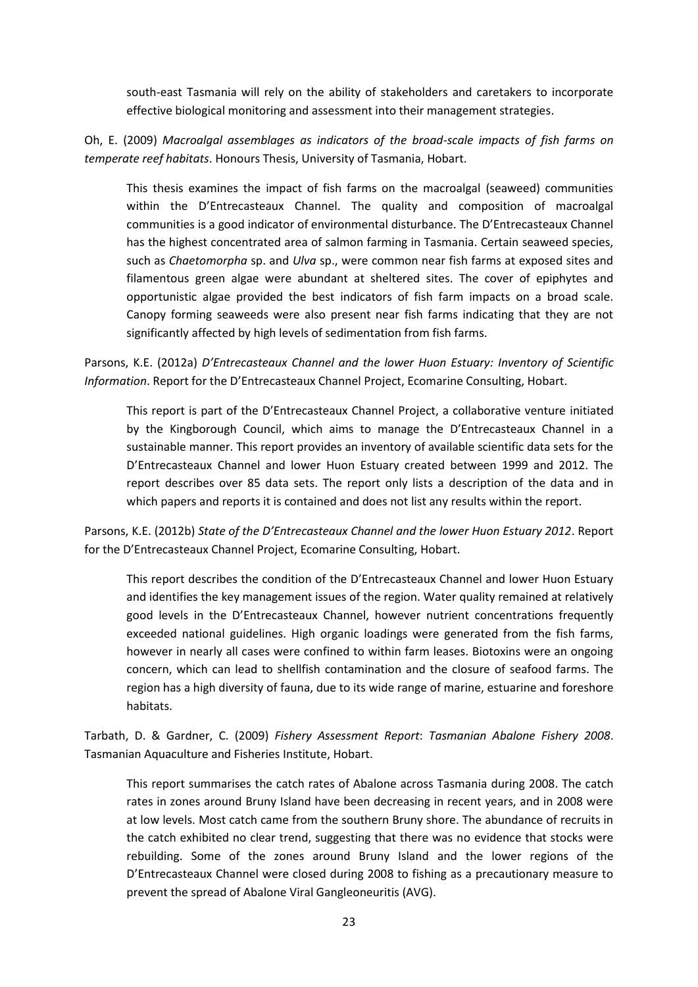south-east Tasmania will rely on the ability of stakeholders and caretakers to incorporate effective biological monitoring and assessment into their management strategies.

Oh, E. (2009) *Macroalgal assemblages as indicators of the broad-scale impacts of fish farms on temperate reef habitats*. Honours Thesis, University of Tasmania, Hobart.

This thesis examines the impact of fish farms on the macroalgal (seaweed) communities within the D'Entrecasteaux Channel. The quality and composition of macroalgal communities is a good indicator of environmental disturbance. The D'Entrecasteaux Channel has the highest concentrated area of salmon farming in Tasmania. Certain seaweed species, such as *Chaetomorpha* sp. and *Ulva* sp., were common near fish farms at exposed sites and filamentous green algae were abundant at sheltered sites. The cover of epiphytes and opportunistic algae provided the best indicators of fish farm impacts on a broad scale. Canopy forming seaweeds were also present near fish farms indicating that they are not significantly affected by high levels of sedimentation from fish farms.

Parsons, K.E. (2012a) *D'Entrecasteaux Channel and the lower Huon Estuary: Inventory of Scientific Information*. Report for the D'Entrecasteaux Channel Project, Ecomarine Consulting, Hobart.

This report is part of the D'Entrecasteaux Channel Project, a collaborative venture initiated by the Kingborough Council, which aims to manage the D'Entrecasteaux Channel in a sustainable manner. This report provides an inventory of available scientific data sets for the D'Entrecasteaux Channel and lower Huon Estuary created between 1999 and 2012. The report describes over 85 data sets. The report only lists a description of the data and in which papers and reports it is contained and does not list any results within the report.

Parsons, K.E. (2012b) *State of the D'Entrecasteaux Channel and the lower Huon Estuary 2012*. Report for the D'Entrecasteaux Channel Project, Ecomarine Consulting, Hobart.

This report describes the condition of the D'Entrecasteaux Channel and lower Huon Estuary and identifies the key management issues of the region. Water quality remained at relatively good levels in the D'Entrecasteaux Channel, however nutrient concentrations frequently exceeded national guidelines. High organic loadings were generated from the fish farms, however in nearly all cases were confined to within farm leases. Biotoxins were an ongoing concern, which can lead to shellfish contamination and the closure of seafood farms. The region has a high diversity of fauna, due to its wide range of marine, estuarine and foreshore habitats.

Tarbath, D. & Gardner, C. (2009) *Fishery Assessment Report*: *Tasmanian Abalone Fishery 2008*. Tasmanian Aquaculture and Fisheries Institute, Hobart.

This report summarises the catch rates of Abalone across Tasmania during 2008. The catch rates in zones around Bruny Island have been decreasing in recent years, and in 2008 were at low levels. Most catch came from the southern Bruny shore. The abundance of recruits in the catch exhibited no clear trend, suggesting that there was no evidence that stocks were rebuilding. Some of the zones around Bruny Island and the lower regions of the D'Entrecasteaux Channel were closed during 2008 to fishing as a precautionary measure to prevent the spread of Abalone Viral Gangleoneuritis (AVG).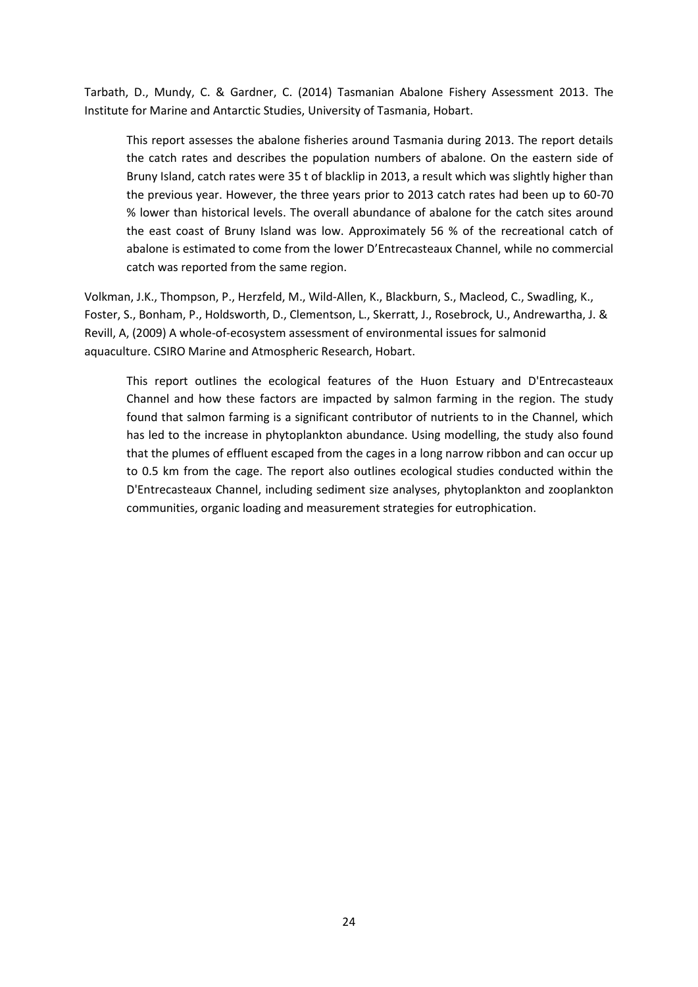Tarbath, D., Mundy, C. & Gardner, C. (2014) Tasmanian Abalone Fishery Assessment 2013. The Institute for Marine and Antarctic Studies, University of Tasmania, Hobart.

This report assesses the abalone fisheries around Tasmania during 2013. The report details the catch rates and describes the population numbers of abalone. On the eastern side of Bruny Island, catch rates were 35 t of blacklip in 2013, a result which was slightly higher than the previous year. However, the three years prior to 2013 catch rates had been up to 60-70 % lower than historical levels. The overall abundance of abalone for the catch sites around the east coast of Bruny Island was low. Approximately 56 % of the recreational catch of abalone is estimated to come from the lower D'Entrecasteaux Channel, while no commercial catch was reported from the same region.

Volkman, J.K., Thompson, P., Herzfeld, M., Wild-Allen, K., Blackburn, S., Macleod, C., Swadling, K., Foster, S., Bonham, P., Holdsworth, D., Clementson, L., Skerratt, J., Rosebrock, U., Andrewartha, J. & Revill, A, (2009) A whole-of-ecosystem assessment of environmental issues for salmonid aquaculture. CSIRO Marine and Atmospheric Research, Hobart.

This report outlines the ecological features of the Huon Estuary and D'Entrecasteaux Channel and how these factors are impacted by salmon farming in the region. The study found that salmon farming is a significant contributor of nutrients to in the Channel, which has led to the increase in phytoplankton abundance. Using modelling, the study also found that the plumes of effluent escaped from the cages in a long narrow ribbon and can occur up to 0.5 km from the cage. The report also outlines ecological studies conducted within the D'Entrecasteaux Channel, including sediment size analyses, phytoplankton and zooplankton communities, organic loading and measurement strategies for eutrophication.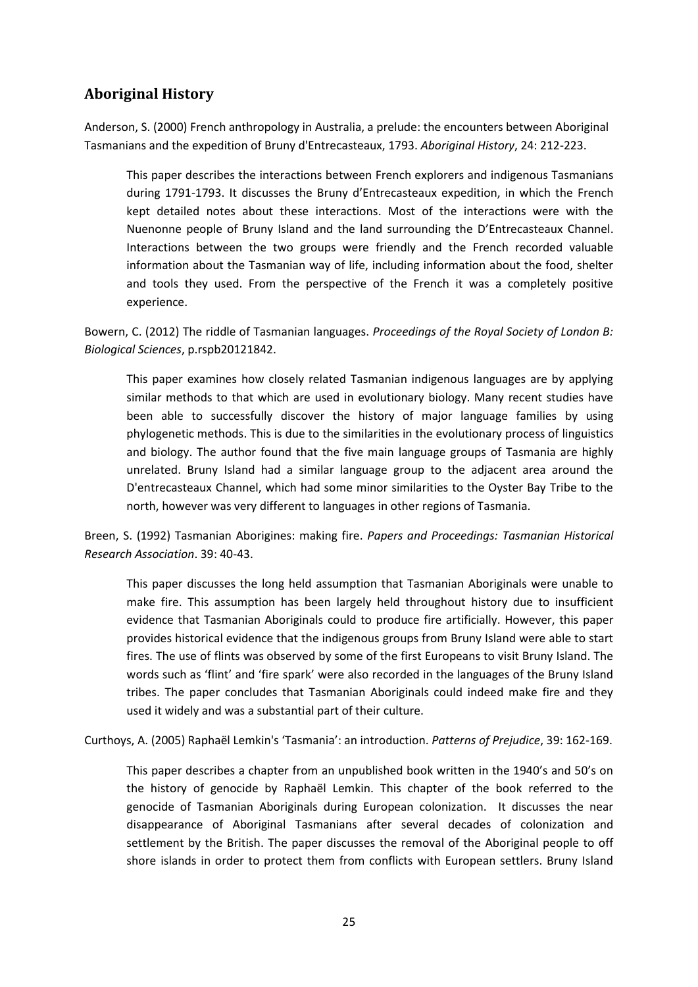# <span id="page-24-0"></span>**Aboriginal History**

Anderson, S. (2000) French anthropology in Australia, a prelude: the encounters between Aboriginal Tasmanians and the expedition of Bruny d'Entrecasteaux, 1793. *Aboriginal History*, 24: 212-223.

This paper describes the interactions between French explorers and indigenous Tasmanians during 1791-1793. It discusses the Bruny d'Entrecasteaux expedition, in which the French kept detailed notes about these interactions. Most of the interactions were with the Nuenonne people of Bruny Island and the land surrounding the D'Entrecasteaux Channel. Interactions between the two groups were friendly and the French recorded valuable information about the Tasmanian way of life, including information about the food, shelter and tools they used. From the perspective of the French it was a completely positive experience.

Bowern, C. (2012) The riddle of Tasmanian languages. *Proceedings of the Royal Society of London B: Biological Sciences*, p.rspb20121842.

This paper examines how closely related Tasmanian indigenous languages are by applying similar methods to that which are used in evolutionary biology. Many recent studies have been able to successfully discover the history of major language families by using phylogenetic methods. This is due to the similarities in the evolutionary process of linguistics and biology. The author found that the five main language groups of Tasmania are highly unrelated. Bruny Island had a similar language group to the adjacent area around the D'entrecasteaux Channel, which had some minor similarities to the Oyster Bay Tribe to the north, however was very different to languages in other regions of Tasmania.

Breen, S. (1992) Tasmanian Aborigines: making fire. *Papers and Proceedings: Tasmanian Historical Research Association*. 39: 40-43.

This paper discusses the long held assumption that Tasmanian Aboriginals were unable to make fire. This assumption has been largely held throughout history due to insufficient evidence that Tasmanian Aboriginals could to produce fire artificially. However, this paper provides historical evidence that the indigenous groups from Bruny Island were able to start fires. The use of flints was observed by some of the first Europeans to visit Bruny Island. The words such as 'flint' and 'fire spark' were also recorded in the languages of the Bruny Island tribes. The paper concludes that Tasmanian Aboriginals could indeed make fire and they used it widely and was a substantial part of their culture.

Curthoys, A. (2005) Raphaël Lemkin's 'Tasmania': an introduction. *Patterns of Prejudice*, 39: 162-169.

This paper describes a chapter from an unpublished book written in the 1940's and 50's on the history of genocide by Raphaël Lemkin. This chapter of the book referred to the genocide of Tasmanian Aboriginals during European colonization. It discusses the near disappearance of Aboriginal Tasmanians after several decades of colonization and settlement by the British. The paper discusses the removal of the Aboriginal people to off shore islands in order to protect them from conflicts with European settlers. Bruny Island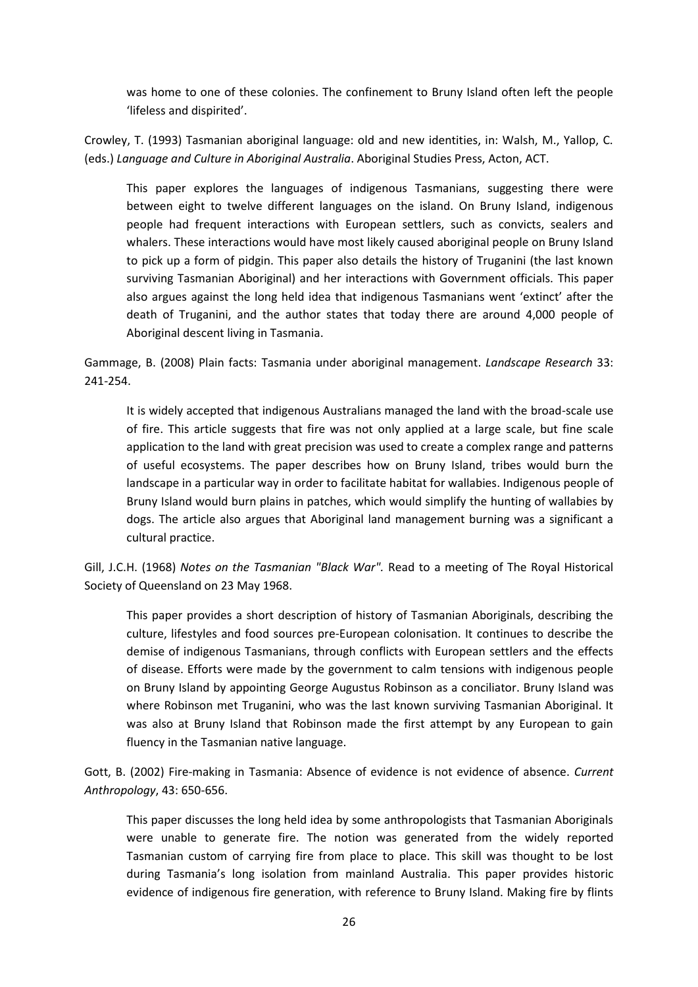was home to one of these colonies. The confinement to Bruny Island often left the people 'lifeless and dispirited'.

Crowley, T. (1993) Tasmanian aboriginal language: old and new identities, in: Walsh, M., Yallop, C. (eds.) *Language and Culture in Aboriginal Australia*. Aboriginal Studies Press, Acton, ACT.

This paper explores the languages of indigenous Tasmanians, suggesting there were between eight to twelve different languages on the island. On Bruny Island, indigenous people had frequent interactions with European settlers, such as convicts, sealers and whalers. These interactions would have most likely caused aboriginal people on Bruny Island to pick up a form of pidgin. This paper also details the history of Truganini (the last known surviving Tasmanian Aboriginal) and her interactions with Government officials. This paper also argues against the long held idea that indigenous Tasmanians went 'extinct' after the death of Truganini, and the author states that today there are around 4,000 people of Aboriginal descent living in Tasmania.

Gammage, B. (2008) Plain facts: Tasmania under aboriginal management. *Landscape Research* 33: 241-254.

It is widely accepted that indigenous Australians managed the land with the broad-scale use of fire. This article suggests that fire was not only applied at a large scale, but fine scale application to the land with great precision was used to create a complex range and patterns of useful ecosystems. The paper describes how on Bruny Island, tribes would burn the landscape in a particular way in order to facilitate habitat for wallabies. Indigenous people of Bruny Island would burn plains in patches, which would simplify the hunting of wallabies by dogs. The article also argues that Aboriginal land management burning was a significant a cultural practice.

Gill, J.C.H. (1968) *Notes on the Tasmanian "Black War".* Read to a meeting of The Royal Historical Society of Queensland on 23 May 1968.

This paper provides a short description of history of Tasmanian Aboriginals, describing the culture, lifestyles and food sources pre-European colonisation. It continues to describe the demise of indigenous Tasmanians, through conflicts with European settlers and the effects of disease. Efforts were made by the government to calm tensions with indigenous people on Bruny Island by appointing George Augustus Robinson as a conciliator. Bruny Island was where Robinson met Truganini, who was the last known surviving Tasmanian Aboriginal. It was also at Bruny Island that Robinson made the first attempt by any European to gain fluency in the Tasmanian native language.

Gott, B. (2002) Fire‐making in Tasmania: Absence of evidence is not evidence of absence. *Current Anthropology*, 43: 650-656.

This paper discusses the long held idea by some anthropologists that Tasmanian Aboriginals were unable to generate fire. The notion was generated from the widely reported Tasmanian custom of carrying fire from place to place. This skill was thought to be lost during Tasmania's long isolation from mainland Australia. This paper provides historic evidence of indigenous fire generation, with reference to Bruny Island. Making fire by flints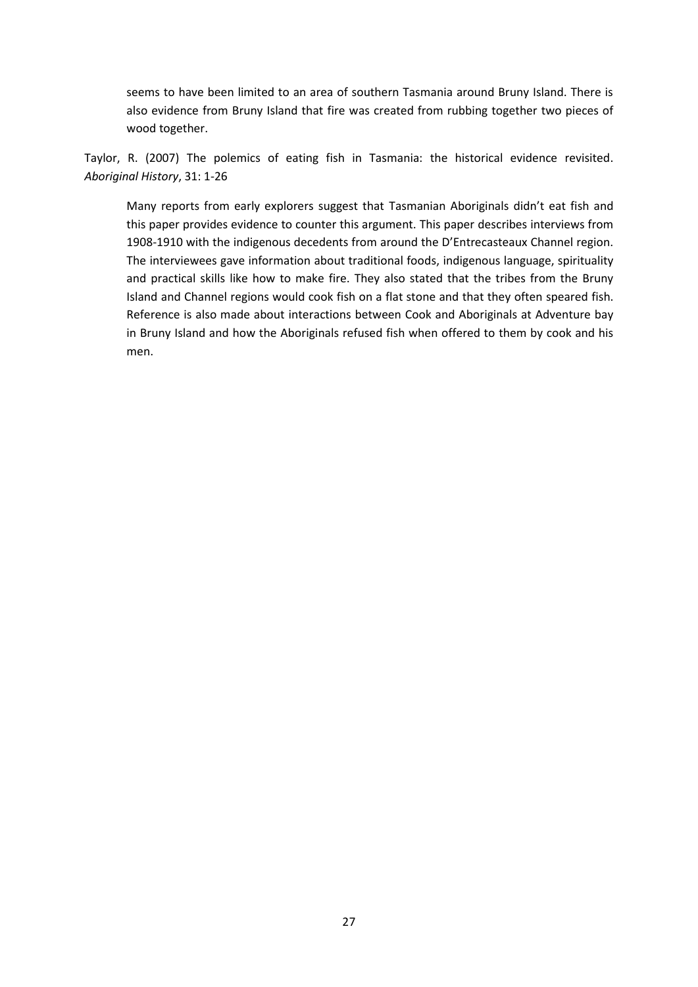seems to have been limited to an area of southern Tasmania around Bruny Island. There is also evidence from Bruny Island that fire was created from rubbing together two pieces of wood together.

Taylor, R. (2007) The polemics of eating fish in Tasmania: the historical evidence revisited. *Aboriginal History*, 31: 1-26

Many reports from early explorers suggest that Tasmanian Aboriginals didn't eat fish and this paper provides evidence to counter this argument. This paper describes interviews from 1908-1910 with the indigenous decedents from around the D'Entrecasteaux Channel region. The interviewees gave information about traditional foods, indigenous language, spirituality and practical skills like how to make fire. They also stated that the tribes from the Bruny Island and Channel regions would cook fish on a flat stone and that they often speared fish. Reference is also made about interactions between Cook and Aboriginals at Adventure bay in Bruny Island and how the Aboriginals refused fish when offered to them by cook and his men.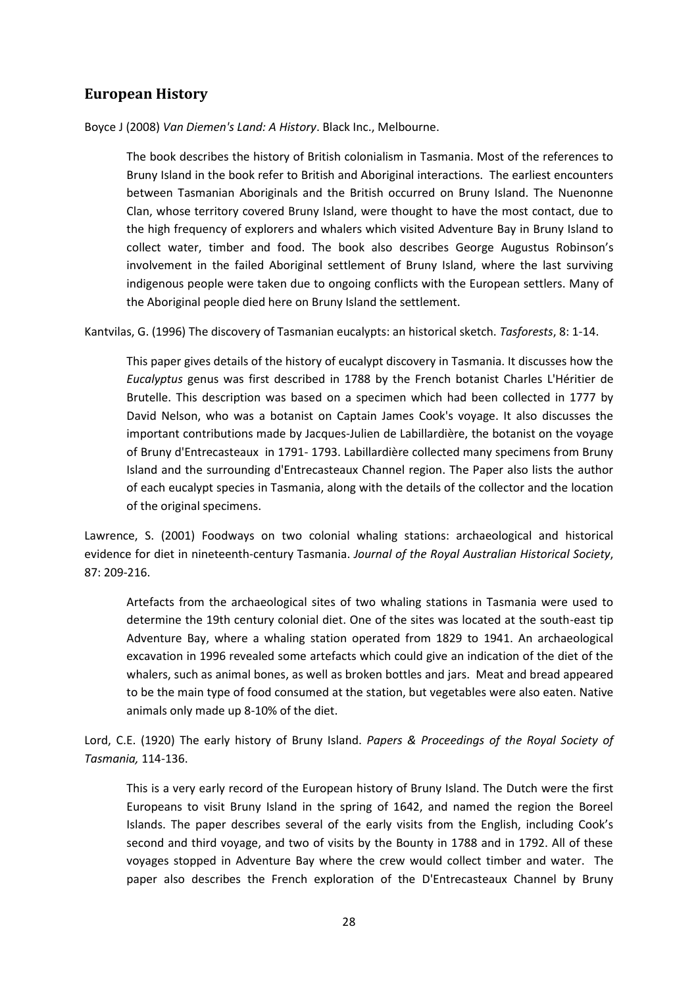# <span id="page-27-0"></span>**European History**

Boyce J (2008) *Van Diemen's Land: A History*. Black Inc., Melbourne.

The book describes the history of British colonialism in Tasmania. Most of the references to Bruny Island in the book refer to British and Aboriginal interactions. The earliest encounters between Tasmanian Aboriginals and the British occurred on Bruny Island. The Nuenonne Clan, whose territory covered Bruny Island, were thought to have the most contact, due to the high frequency of explorers and whalers which visited Adventure Bay in Bruny Island to collect water, timber and food. The book also describes George Augustus Robinson's involvement in the failed Aboriginal settlement of Bruny Island, where the last surviving indigenous people were taken due to ongoing conflicts with the European settlers. Many of the Aboriginal people died here on Bruny Island the settlement.

Kantvilas, G. (1996) The discovery of Tasmanian eucalypts: an historical sketch. *Tasforests*, 8: 1-14.

This paper gives details of the history of eucalypt discovery in Tasmania. It discusses how the *Eucalyptus* genus was first described in 1788 by the French botanist Charles L'Héritier de Brutelle. This description was based on a specimen which had been collected in 1777 by David Nelson, who was a botanist on Captain James Cook's voyage. It also discusses the important contributions made by Jacques-Julien de Labillardière, the botanist on the voyage of Bruny d'Entrecasteaux in 1791- 1793. Labillardière collected many specimens from Bruny Island and the surrounding d'Entrecasteaux Channel region. The Paper also lists the author of each eucalypt species in Tasmania, along with the details of the collector and the location of the original specimens.

Lawrence, S. (2001) Foodways on two colonial whaling stations: archaeological and historical evidence for diet in nineteenth-century Tasmania. *Journal of the Royal Australian Historical Society*, 87: 209-216.

Artefacts from the archaeological sites of two whaling stations in Tasmania were used to determine the 19th century colonial diet. One of the sites was located at the south-east tip Adventure Bay, where a whaling station operated from 1829 to 1941. An archaeological excavation in 1996 revealed some artefacts which could give an indication of the diet of the whalers, such as animal bones, as well as broken bottles and jars. Meat and bread appeared to be the main type of food consumed at the station, but vegetables were also eaten. Native animals only made up 8-10% of the diet.

Lord, C.E. (1920) The early history of Bruny Island. *Papers & Proceedings of the Royal Society of Tasmania,* 114-136.

This is a very early record of the European history of Bruny Island. The Dutch were the first Europeans to visit Bruny Island in the spring of 1642, and named the region the Boreel Islands. The paper describes several of the early visits from the English, including Cook's second and third voyage, and two of visits by the Bounty in 1788 and in 1792. All of these voyages stopped in Adventure Bay where the crew would collect timber and water. The paper also describes the French exploration of the D'Entrecasteaux Channel by Bruny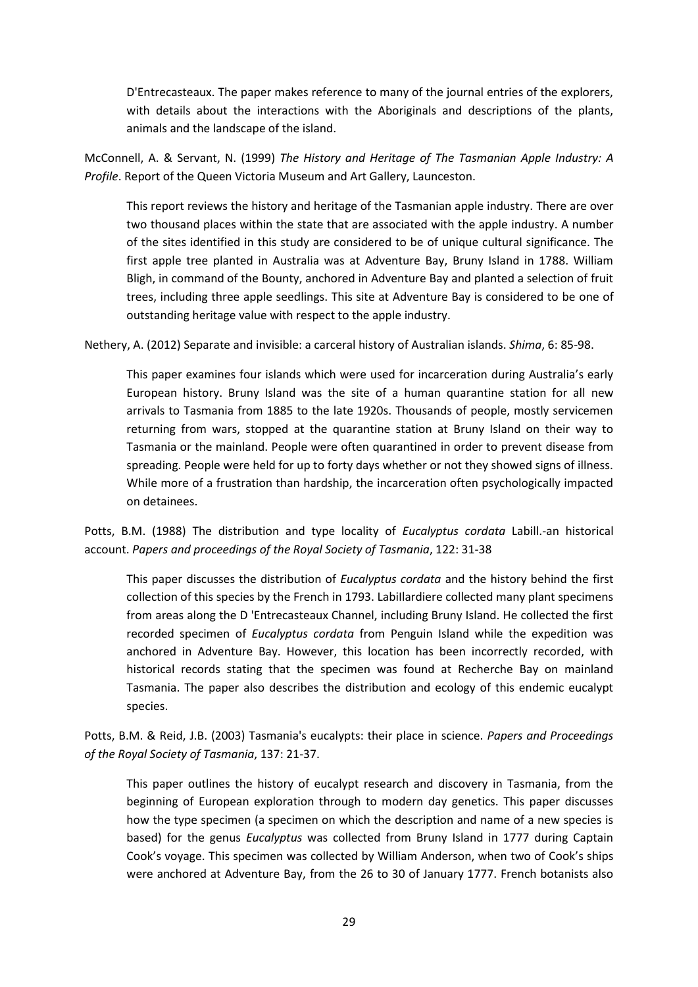D'Entrecasteaux. The paper makes reference to many of the journal entries of the explorers, with details about the interactions with the Aboriginals and descriptions of the plants, animals and the landscape of the island.

McConnell, A. & Servant, N. (1999) *The History and Heritage of The Tasmanian Apple Industry: A Profile*. Report of the Queen Victoria Museum and Art Gallery, Launceston.

This report reviews the history and heritage of the Tasmanian apple industry. There are over two thousand places within the state that are associated with the apple industry. A number of the sites identified in this study are considered to be of unique cultural significance. The first apple tree planted in Australia was at Adventure Bay, Bruny Island in 1788. William Bligh, in command of the Bounty, anchored in Adventure Bay and planted a selection of fruit trees, including three apple seedlings. This site at Adventure Bay is considered to be one of outstanding heritage value with respect to the apple industry.

Nethery, A. (2012) Separate and invisible: a carceral history of Australian islands. *Shima*, 6: 85-98.

This paper examines four islands which were used for incarceration during Australia's early European history. Bruny Island was the site of a human quarantine station for all new arrivals to Tasmania from 1885 to the late 1920s. Thousands of people, mostly servicemen returning from wars, stopped at the quarantine station at Bruny Island on their way to Tasmania or the mainland. People were often quarantined in order to prevent disease from spreading. People were held for up to forty days whether or not they showed signs of illness. While more of a frustration than hardship, the incarceration often psychologically impacted on detainees.

Potts, B.M. (1988) The distribution and type locality of *Eucalyptus cordata* Labill.-an historical account. *Papers and proceedings of the Royal Society of Tasmania*, 122: 31-38

This paper discusses the distribution of *Eucalyptus cordata* and the history behind the first collection of this species by the French in 1793. LabiIlardiere collected many plant specimens from areas along the D 'Entrecasteaux Channel, including Bruny Island. He collected the first recorded specimen of *Eucalyptus cordata* from Penguin Island while the expedition was anchored in Adventure Bay. However, this location has been incorrectly recorded, with historical records stating that the specimen was found at Recherche Bay on mainland Tasmania. The paper also describes the distribution and ecology of this endemic eucalypt species.

Potts, B.M. & Reid, J.B. (2003) Tasmania's eucalypts: their place in science. *Papers and Proceedings of the Royal Society of Tasmania*, 137: 21-37.

This paper outlines the history of eucalypt research and discovery in Tasmania, from the beginning of European exploration through to modern day genetics. This paper discusses how the type specimen (a specimen on which the description and name of a new species is based) for the genus *Eucalyptus* was collected from Bruny Island in 1777 during Captain Cook's voyage. This specimen was collected by William Anderson, when two of Cook's ships were anchored at Adventure Bay, from the 26 to 30 of January 1777. French botanists also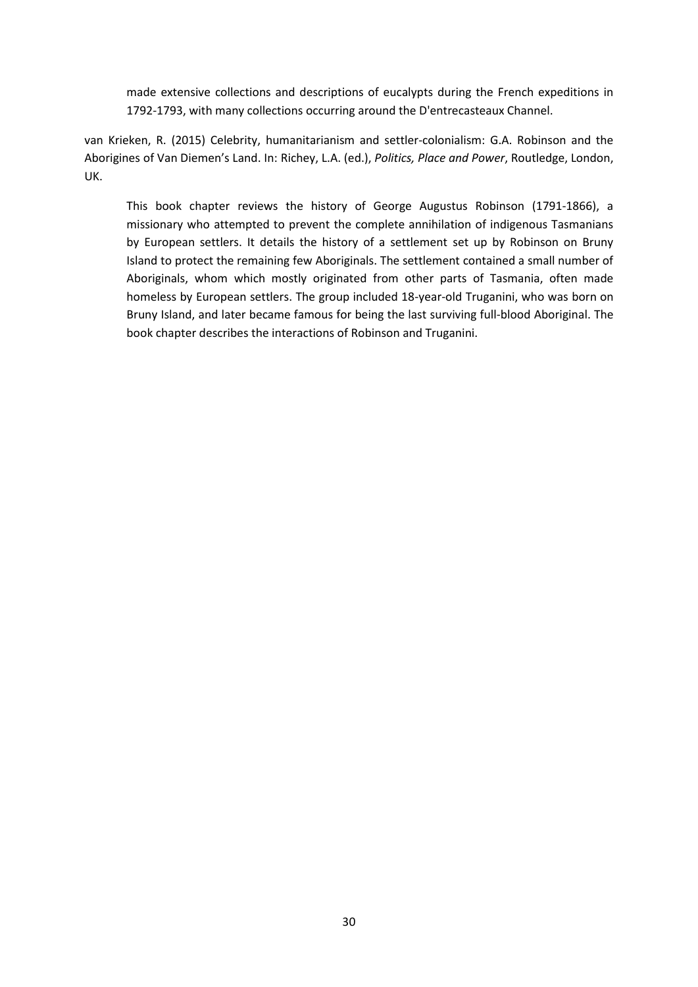made extensive collections and descriptions of eucalypts during the French expeditions in 1792-1793, with many collections occurring around the D'entrecasteaux Channel.

van Krieken, R. (2015) Celebrity, humanitarianism and settler‐colonialism: G.A. Robinson and the Aborigines of Van Diemen's Land. In: Richey, L.A. (ed.), *Politics, Place and Power*, Routledge, London, UK.

This book chapter reviews the history of George Augustus Robinson (1791‐1866), a missionary who attempted to prevent the complete annihilation of indigenous Tasmanians by European settlers. It details the history of a settlement set up by Robinson on Bruny Island to protect the remaining few Aboriginals. The settlement contained a small number of Aboriginals, whom which mostly originated from other parts of Tasmania, often made homeless by European settlers. The group included 18‐year‐old Truganini, who was born on Bruny Island, and later became famous for being the last surviving full‐blood Aboriginal. The book chapter describes the interactions of Robinson and Truganini.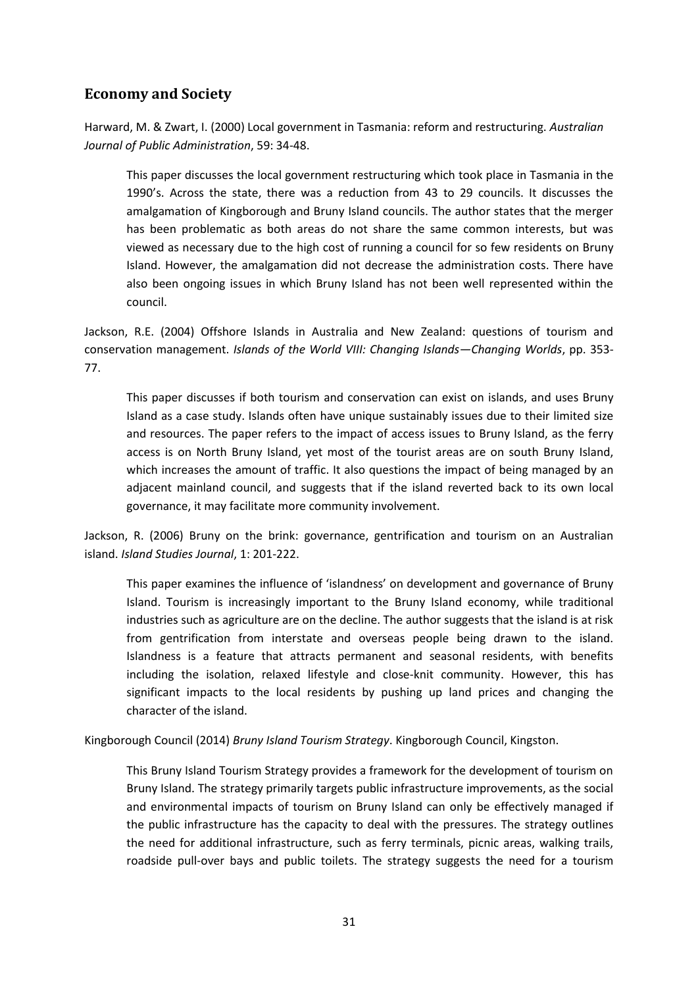# <span id="page-30-0"></span>**Economy and Society**

Harward, M. & Zwart, I. (2000) Local government in Tasmania: reform and restructuring. *Australian Journal of Public Administration*, 59: 34-48.

This paper discusses the local government restructuring which took place in Tasmania in the 1990's. Across the state, there was a reduction from 43 to 29 councils. It discusses the amalgamation of Kingborough and Bruny Island councils. The author states that the merger has been problematic as both areas do not share the same common interests, but was viewed as necessary due to the high cost of running a council for so few residents on Bruny Island. However, the amalgamation did not decrease the administration costs. There have also been ongoing issues in which Bruny Island has not been well represented within the council.

Jackson, R.E. (2004) Offshore Islands in Australia and New Zealand: questions of tourism and conservation management. *Islands of the World VIII: Changing Islands—Changing Worlds*, pp. 353- 77.

This paper discusses if both tourism and conservation can exist on islands, and uses Bruny Island as a case study. Islands often have unique sustainably issues due to their limited size and resources. The paper refers to the impact of access issues to Bruny Island, as the ferry access is on North Bruny Island, yet most of the tourist areas are on south Bruny Island, which increases the amount of traffic. It also questions the impact of being managed by an adjacent mainland council, and suggests that if the island reverted back to its own local governance, it may facilitate more community involvement.

Jackson, R. (2006) Bruny on the brink: governance, gentrification and tourism on an Australian island. *Island Studies Journal*, 1: 201-222.

This paper examines the influence of 'islandness' on development and governance of Bruny Island. Tourism is increasingly important to the Bruny Island economy, while traditional industries such as agriculture are on the decline. The author suggests that the island is at risk from gentrification from interstate and overseas people being drawn to the island. Islandness is a feature that attracts permanent and seasonal residents, with benefits including the isolation, relaxed lifestyle and close-knit community. However, this has significant impacts to the local residents by pushing up land prices and changing the character of the island.

Kingborough Council (2014) *Bruny Island Tourism Strategy*. Kingborough Council, Kingston.

This Bruny Island Tourism Strategy provides a framework for the development of tourism on Bruny Island. The strategy primarily targets public infrastructure improvements, as the social and environmental impacts of tourism on Bruny Island can only be effectively managed if the public infrastructure has the capacity to deal with the pressures. The strategy outlines the need for additional infrastructure, such as ferry terminals, picnic areas, walking trails, roadside pull-over bays and public toilets. The strategy suggests the need for a tourism